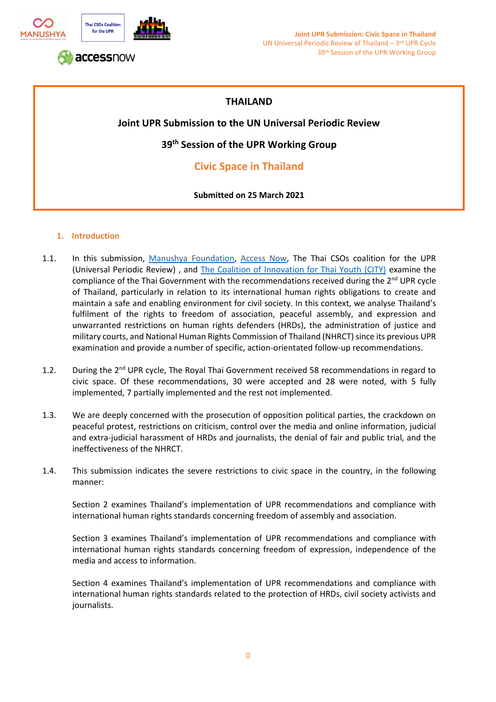

# **THAILAND**

## **Joint UPR Submission to the UN Universal Periodic Review**

**39th Session of the UPR Working Group**

# **Civic Space in Thailand**

### **Submitted on 25 March 2021**

### **1. Introduction**

- 1.1. In this submission, [Manushya Foundation,](https://www.manushyafoundation.org/) [Access Now,](https://www.accessnow.org/) The Thai CSOs coalition for the UPR (Universal Periodic Review) , and [The Coalition of Innovation for Thai Youth \(CITY\)](https://city-coalition-of-innovation-for-thai-youth.business.site/) examine the compliance of the Thai Government with the recommendations received during the  $2<sup>nd</sup> UPR$  cycle of Thailand, particularly in relation to its international human rights obligations to create and maintain a safe and enabling environment for civil society. In this context, we analyse Thailand's fulfilment of the rights to freedom of association, peaceful assembly, and expression and unwarranted restrictions on human rights defenders (HRDs), the administration of justice and military courts, and National Human Rights Commission of Thailand (NHRCT) since its previous UPR examination and provide a number of specific, action-orientated follow-up recommendations.
- 1.2. During the 2<sup>nd</sup> UPR cycle, The Royal Thai Government received 58 recommendations in regard to civic space. Of these recommendations, 30 were accepted and 28 were noted, with 5 fully implemented, 7 partially implemented and the rest not implemented.
- 1.3. We are deeply concerned with the prosecution of opposition political parties, the crackdown on peaceful protest, restrictions on criticism, control over the media and online information, judicial and extra-judicial harassment of HRDs and journalists, the denial of fair and public trial, and the ineffectiveness of the NHRCT.
- 1.4. This submission indicates the severe restrictions to civic space in the country, in the following manner:

Section 2 examines Thailand's implementation of UPR recommendations and compliance with international human rights standards concerning freedom of assembly and association.

Section 3 examines Thailand's implementation of UPR recommendations and compliance with international human rights standards concerning freedom of expression, independence of the media and access to information.

Section 4 examines Thailand's implementation of UPR recommendations and compliance with international human rights standards related to the protection of HRDs, civil society activists and journalists.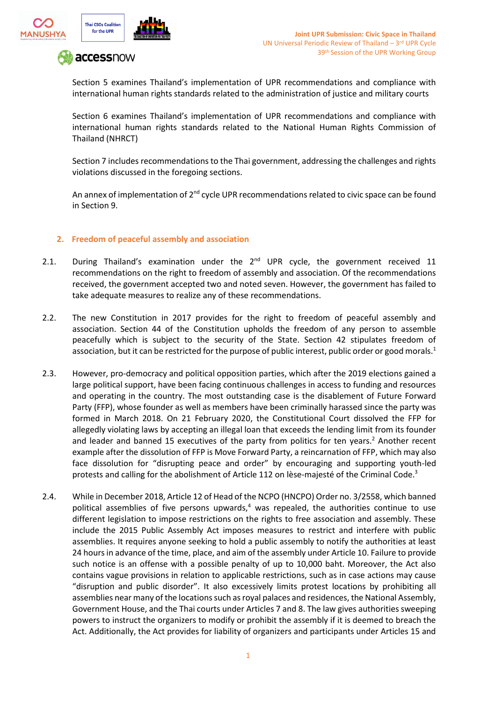



Section 5 examines Thailand's implementation of UPR recommendations and compliance with international human rights standards related to the administration of justice and military courts

Section 6 examines Thailand's implementation of UPR recommendations and compliance with international human rights standards related to the National Human Rights Commission of Thailand (NHRCT)

Section 7 includes recommendations to the Thai government, addressing the challenges and rights violations discussed in the foregoing sections.

An annex of implementation of  $2<sup>nd</sup>$  cycle UPR recommendations related to civic space can be found in Section 9.

#### **2. Freedom of peaceful assembly and association**

- 2.1. During Thailand's examination under the  $2^{nd}$  UPR cycle, the government received 11 recommendations on the right to freedom of assembly and association. Of the recommendations received, the government accepted two and noted seven. However, the government has failed to take adequate measures to realize any of these recommendations.
- 2.2. The new Constitution in 2017 provides for the right to freedom of peaceful assembly and association. Section 44 of the Constitution upholds the freedom of any person to assemble peacefully which is subject to the security of the State. Section 42 stipulates freedom of association, but it can be restricted for the purpose of public interest, public order or good morals.<sup>1</sup>
- 2.3. However, pro-democracy and political opposition parties, which after the 2019 elections gained a large political support, have been facing continuous challenges in access to funding and resources and operating in the country. The most outstanding case is the disablement of Future Forward Party (FFP), whose founder as well as members have been criminally harassed since the party was formed in March 2018. On 21 February 2020, the Constitutional Court dissolved the FFP for allegedly violating laws by accepting an illegal loan that exceeds the lending limit from its founder and leader and banned 15 executives of the party from politics for ten years.<sup>2</sup> Another recent example after the dissolution of FFP is Move Forward Party, a reincarnation of FFP, which may also face dissolution for "disrupting peace and order" by encouraging and supporting youth-led protests and calling for the abolishment of Article 112 on lèse-majesté of the Criminal Code.<sup>3</sup>
- 2.4. While in December 2018, Article 12 of Head of the NCPO (HNCPO) Order no. 3/2558, which banned political assemblies of five persons upwards, $4$  was repealed, the authorities continue to use different legislation to impose restrictions on the rights to free association and assembly. These include the 2015 Public Assembly Act imposes measures to restrict and interfere with public assemblies. It requires anyone seeking to hold a public assembly to notify the authorities at least 24 hours in advance of the time, place, and aim of the assembly under Article 10. Failure to provide such notice is an offense with a possible penalty of up to 10,000 baht. Moreover, the Act also contains vague provisions in relation to applicable restrictions, such as in case actions may cause "disruption and public disorder". It also excessively limits protest locations by prohibiting all assemblies near many of the locations such as royal palaces and residences, the National Assembly, Government House, and the Thai courts under Articles 7 and 8. The law gives authorities sweeping powers to instruct the organizers to modify or prohibit the assembly if it is deemed to breach the Act. Additionally, the Act provides for liability of organizers and participants under Articles 15 and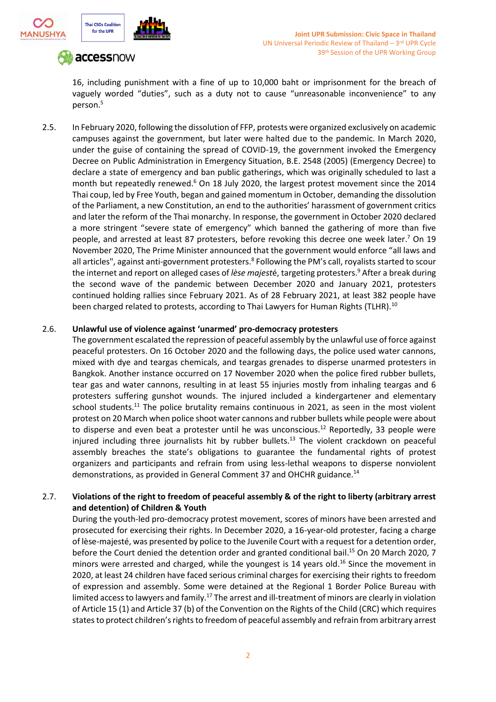



16, including punishment with a fine of up to 10,000 baht or imprisonment for the breach of vaguely worded "duties", such as a duty not to cause "unreasonable inconvenience" to any person.<sup>5</sup>

2.5. In February 2020, following the dissolution of FFP, protests were organized exclusively on academic campuses against the government, but later were halted due to the pandemic. In March 2020, under the guise of containing the spread of COVID-19, the government invoked the Emergency Decree on Public Administration in Emergency Situation, B.E. 2548 (2005) (Emergency Decree) to declare a state of emergency and ban public gatherings, which was originally scheduled to last a month but repeatedly renewed.<sup>6</sup> On 18 July 2020, the largest protest movement since the 2014 Thai coup, led by Free Youth, began and gained momentum in October, demanding the dissolution of the Parliament, a new Constitution, an end to the authorities' harassment of government critics and later the reform of the Thai monarchy. In response, the government in October 2020 declared a more stringent "severe state of emergency" which banned the gathering of more than five people, and arrested at least 87 protesters, before revoking this decree one week later.<sup>7</sup> On 19 November 2020, The Prime Minister announced that the government would enforce "all laws and all articles", against anti-government protesters.<sup>8</sup> Following the PM's call, royalists started to scour the internet and report on alleged cases of *lèse majest*é, targeting protesters.<sup>9</sup> After a break during the second wave of the pandemic between December 2020 and January 2021, protesters continued holding rallies since February 2021. As of 28 February 2021, at least 382 people have been charged related to protests, according to Thai Lawyers for Human Rights (TLHR).<sup>10</sup>

#### 2.6. **Unlawful use of violence against 'unarmed' pro-democracy protesters**

The government escalated the repression of peaceful assembly by the unlawful use of force against peaceful protesters. On 16 October 2020 and the following days, the police used water cannons, mixed with dye and teargas chemicals, and teargas grenades to disperse unarmed protesters in Bangkok. Another instance occurred on 17 November 2020 when the police fired rubber bullets, tear gas and water cannons, resulting in at least 55 injuries mostly from inhaling teargas and 6 protesters suffering gunshot wounds. The injured included a kindergartener and elementary school students.<sup>11</sup> The police brutality remains continuous in 2021, as seen in the most violent protest on 20 March when police shoot water cannons and rubber bullets while people were about to disperse and even beat a protester until he was unconscious.<sup>12</sup> Reportedly, 33 people were injured including three journalists hit by rubber bullets.<sup>13</sup> The violent crackdown on peaceful assembly breaches the state's obligations to guarantee the fundamental rights of protest organizers and participants and refrain from using less-lethal weapons to disperse nonviolent demonstrations, as provided in General Comment 37 and OHCHR guidance.<sup>14</sup>

### 2.7. **Violations of the right to freedom of peaceful assembly & of the right to liberty (arbitrary arrest and detention) of Children & Youth**

During the youth-led pro-democracy protest movement, scores of minors have been arrested and prosecuted for exercising their rights. In December 2020, a 16-year-old protester, facing a charge of lèse-majesté, was presented by police to the Juvenile Court with a request for a detention order, before the Court denied the detention order and granted conditional bail. <sup>15</sup> On 20 March 2020, 7 minors were arrested and charged, while the youngest is 14 years old. <sup>16</sup> Since the movement in 2020, at least 24 children have faced serious criminal charges for exercising their rights to freedom of expression and assembly. Some were detained at the Regional 1 Border Police Bureau with limited access to lawyers and family.<sup>17</sup> The arrest and ill-treatment of minors are clearly in violation of Article 15 (1) and Article 37 (b) of the Convention on the Rights of the Child (CRC) which requires states to protect children's rights to freedom of peaceful assembly and refrain from arbitrary arrest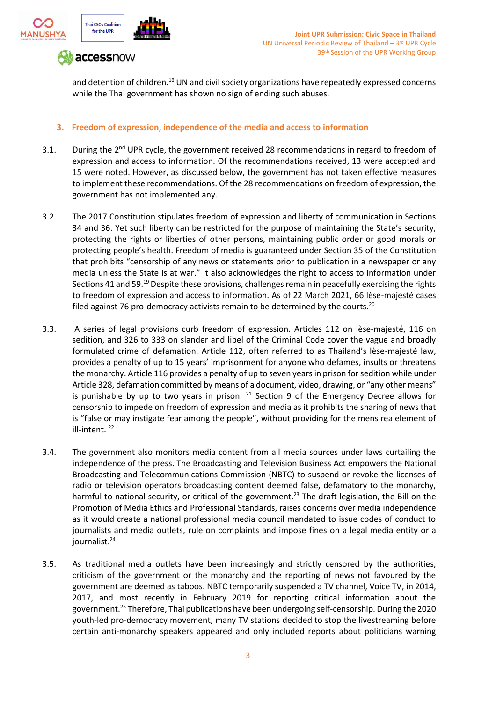

and detention of children.<sup>18</sup> UN and civil society organizations have repeatedly expressed concerns while the Thai government has shown no sign of ending such abuses.

### **3. Freedom of expression, independence of the media and access to information**

- 3.1. During the 2<sup>nd</sup> UPR cycle, the government received 28 recommendations in regard to freedom of expression and access to information. Of the recommendations received, 13 were accepted and 15 were noted. However, as discussed below, the government has not taken effective measures to implement these recommendations. Of the 28 recommendations on freedom of expression, the government has not implemented any.
- 3.2. The 2017 Constitution stipulates freedom of expression and liberty of communication in Sections 34 and 36. Yet such liberty can be restricted for the purpose of maintaining the State's security, protecting the rights or liberties of other persons, maintaining public order or good morals or protecting people's health. Freedom of media is guaranteed under Section 35 of the Constitution that prohibits "censorship of any news or statements prior to publication in a newspaper or any media unless the State is at war." It also acknowledges the right to access to information under Sections 41 and 59.<sup>19</sup> Despite these provisions, challenges remain in peacefully exercising the rights to freedom of expression and access to information. As of 22 March 2021, 66 lèse-majesté cases filed against 76 pro-democracy activists remain to be determined by the courts.<sup>20</sup>
- 3.3. A series of legal provisions curb freedom of expression. Articles 112 on lèse-majesté, 116 on sedition, and 326 to 333 on slander and libel of the Criminal Code cover the vague and broadly formulated crime of defamation. Article 112, often referred to as Thailand's lèse-majesté law, provides a penalty of up to 15 years' imprisonment for anyone who defames, insults or threatens the monarchy. Article 116 provides a penalty of up to seven years in prison for sedition while under Article 328, defamation committed by means of a document, video, drawing, or "any other means" is punishable by up to two years in prison.  $21$  Section 9 of the Emergency Decree allows for censorship to impede on freedom of expression and media as it prohibits the sharing of news that is "false or may instigate fear among the people", without providing for the mens rea element of ill-intent. <sup>22</sup>
- 3.4. The government also monitors media content from all media sources under laws curtailing the independence of the press. The Broadcasting and Television Business Act empowers the National Broadcasting and Telecommunications Commission (NBTC) to suspend or revoke the licenses of radio or television operators broadcasting content deemed false, defamatory to the monarchy, harmful to national security, or critical of the government.<sup>23</sup> The draft legislation, the Bill on the Promotion of Media Ethics and Professional Standards, raises concerns over media independence as it would create a national professional media council mandated to issue codes of conduct to journalists and media outlets, rule on complaints and impose fines on a legal media entity or a journalist.<sup>24</sup>
- 3.5. As traditional media outlets have been increasingly and strictly censored by the authorities, criticism of the government or the monarchy and the reporting of news not favoured by the government are deemed as taboos. NBTC temporarily suspended a TV channel, Voice TV, in 2014, 2017, and most recently in February 2019 for reporting critical information about the government.<sup>25</sup> Therefore, Thai publications have been undergoing self-censorship. During the 2020 youth-led pro-democracy movement, many TV stations decided to stop the livestreaming before certain anti-monarchy speakers appeared and only included reports about politicians warning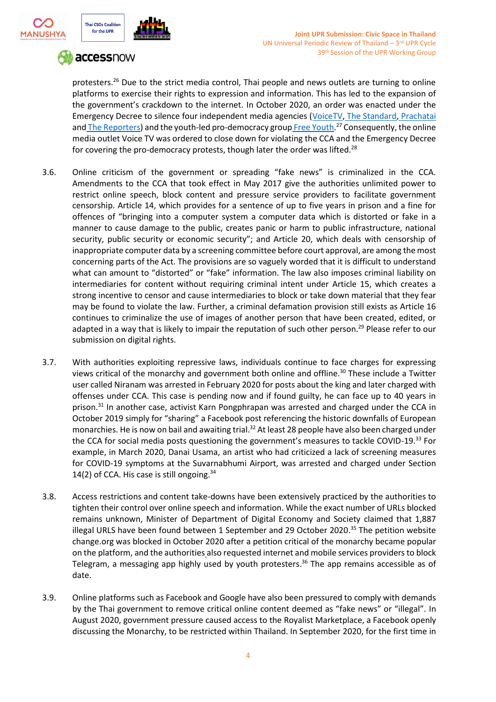



protesters.<sup>26</sup> Due to the strict media control, Thai people and news outlets are turning to online platforms to exercise their rights to expression and information. This has led to the expansion of the government's crackdown to the internet. In October 2020, an order was enacted under the Emergency Decree to silence four independent media agencies [\(VoiceTV](https://www.instagram.com/voicetv/)[,](https://www.instagram.com/thestandardth.ig/) [The Standard](https://www.instagram.com/thestandardth.ig/)[,](https://www.instagram.com/prachatai_ig/) [Prachatai](https://www.instagram.com/prachatai_ig/) an[d](https://www.instagram.com/the.reportersth/)<u> The Re[p](https://www.instagram.com/freeyouth.ig/)orters</u>) and the youth-led pro-democracy group<u> Free Youth</u>.<sup>27</sup> Consequently, the online media outlet Voice TV was ordered to close down for violating the CCA and the Emergency Decree for covering the pro-democracy protests, though later the order was lifted.<sup>28</sup>

- 3.6. Online criticism of the government or spreading "fake news" is criminalized in the CCA. Amendments to the CCA that took effect in May 2017 give the authorities unlimited power to restrict online speech, block content and pressure service providers to facilitate government censorship. Article 14, which provides for a sentence of up to five years in prison and a fine for offences of "bringing into a computer system a computer data which is distorted or fake in a manner to cause damage to the public, creates panic or harm to public infrastructure, national security, public security or economic security"; and Article 20, which deals with censorship of inappropriate computer data by a screening committee before court approval, are among the most concerning parts of the Act. The provisions are so vaguely worded that it is difficult to understand what can amount to "distorted" or "fake" information. The law also imposes criminal liability on intermediaries for content without requiring criminal intent under Article 15, which creates a strong incentive to censor and cause intermediaries to block or take down material that they fear may be found to violate the law. Further, a criminal defamation provision still exists as Article 16 continues to criminalize the use of images of another person that have been created, edited, or adapted in a way that is likely to impair the reputation of such other person.<sup>29</sup> Please refer to our submission on digital rights.
- 3.7. With authorities exploiting repressive laws, individuals continue to face charges for expressing views critical of the monarchy and government both online and offline.<sup>30</sup> These include a Twitter user called Niranam was arrested in February 2020 for posts about the king and later charged with offenses under CCA. This case is pending now and if found guilty, he can face up to 40 years in prison.<sup>31</sup> In another case, activist Karn Pongphrapan was arrested and charged under the CCA in October 2019 simply for "sharing" a Facebook post referencing the historic downfalls of European monarchies. He is now on bail and awaiting trial.<sup>32</sup> At least 28 people have also been charged under the CCA for social media posts questioning the government's measures to tackle COVID-19.<sup>33</sup> For example, in March 2020, Danai Usama, an artist who had criticized a lack of screening measures for COVID-19 symptoms at the Suvarnabhumi Airport, was arrested and charged under Section 14(2) of CCA. His case is still ongoing. $34$
- 3.8. Access restrictions and content take-downs have been extensively practiced by the authorities to tighten their control over online speech and information. While the exact number of URLs blocked remains unknown, Minister of Department of Digital Economy and Society claimed that 1,887 illegal URLS have been found between 1 September and 29 October 2020.<sup>35</sup> The petition website change.org was blocked in October 2020 after a petition critical of the monarchy became popular on the platform, and the authorities also requested internet and mobile services providers to block Telegram, a messaging app highly used by youth protesters.<sup>36</sup> The app remains accessible as of date.
- 3.9. Online platforms such as Facebook and Google have also been pressured to comply with demands by the Thai government to remove critical online content deemed as "fake news" or "illegal". In August 2020, government pressure caused access to the Royalist Marketplace, a Facebook openly discussing the Monarchy, to be restricted within Thailand. In September 2020, for the first time in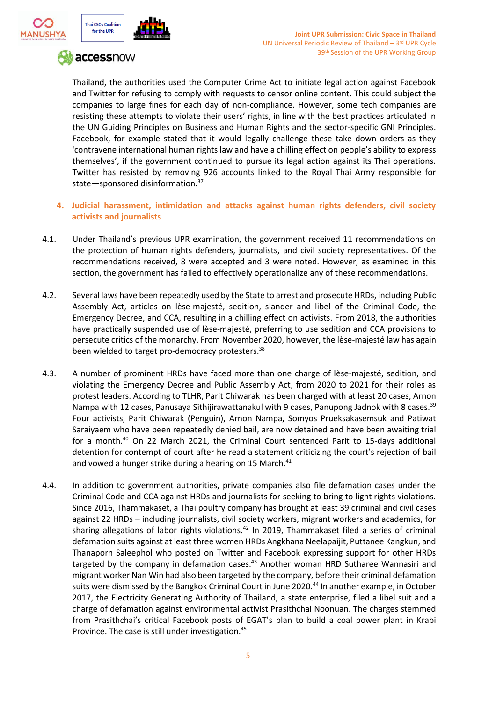



Thailand, the authorities used the Computer Crime Act to initiate legal action against Facebook and Twitter for refusing to comply with requests to censor online content. This could subject the companies to large fines for each day of non-compliance. However, some tech companies are resisting these attempts to violate their users' rights, in line with the best practices articulated in the UN Guiding Principles on Business and Human Rights and the sector-specific GNI Principles. Facebook, for example stated that it would legally challenge these take down orders as they 'contravene international human rights law and have a chilling effect on people's ability to express themselves', if the government continued to pursue its legal action against its Thai operations. Twitter has resisted by removing 926 accounts linked to the Royal Thai Army responsible for state—sponsored disinformation.<sup>37</sup>

- **4. Judicial harassment, intimidation and attacks against human rights defenders, civil society activists and journalists**
- 4.1. Under Thailand's previous UPR examination, the government received 11 recommendations on the protection of human rights defenders, journalists, and civil society representatives. Of the recommendations received, 8 were accepted and 3 were noted. However, as examined in this section, the government has failed to effectively operationalize any of these recommendations.
- 4.2. Several laws have been repeatedly used by the State to arrest and prosecute HRDs, including Public Assembly Act, articles on lèse-majesté, sedition, slander and libel of the Criminal Code, the Emergency Decree, and CCA, resulting in a chilling effect on activists. From 2018, the authorities have practically suspended use of lèse-majesté, preferring to use sedition and CCA provisions to persecute critics of the monarchy. From November 2020, however, the lèse-majesté law has again been wielded to target pro-democracy protesters.<sup>38</sup>
- 4.3. A number of prominent HRDs have faced more than one charge of lèse-majesté, sedition, and violating the Emergency Decree and Public Assembly Act, from 2020 to 2021 for their roles as protest leaders. According to TLHR, Parit Chiwarak has been charged with at least 20 cases, Arnon Nampa with 12 cases, Panusaya Sithijirawattanakul with 9 cases, Panupong Jadnok with 8 cases.<sup>39</sup> Four activists, Parit Chiwarak (Penguin), Arnon Nampa, Somyos Prueksakasemsuk and Patiwat Saraiyaem who have been repeatedly denied bail, are now detained and have been awaiting trial for a month.<sup>40</sup> On 22 March 2021, the Criminal Court sentenced Parit to 15-days additional detention for contempt of court after he read a statement criticizing the court's rejection of bail and vowed a hunger strike during a hearing on 15 March.<sup>41</sup>
- 4.4. In addition to government authorities, private companies also file defamation cases under the Criminal Code and CCA against HRDs and journalists for seeking to bring to light rights violations. Since 2016, Thammakaset, a Thai poultry company has brought at least 39 criminal and civil cases against 22 HRDs – including journalists, civil society workers, migrant workers and academics, for sharing allegations of labor rights violations.<sup>42</sup> In 2019, Thammakaset filed a series of criminal defamation suits against at least three women HRDs Angkhana Neelapaijit, Puttanee Kangkun, and Thanaporn Saleephol who posted on Twitter and Facebook expressing support for other HRDs targeted by the company in defamation cases.<sup>43</sup> Another woman HRD Sutharee Wannasiri and migrant worker Nan Win had also been targeted by the company, before their criminal defamation suits were dismissed by the Bangkok Criminal Court in June 2020.<sup>44</sup> In another example, in October 2017, the Electricity Generating Authority of Thailand, a state enterprise, filed a libel suit and a charge of defamation against environmental activist Prasithchai Noonuan. The charges stemmed from Prasithchai's critical Facebook posts of EGAT's plan to build a coal power plant in Krabi Province. The case is still under investigation.<sup>45</sup>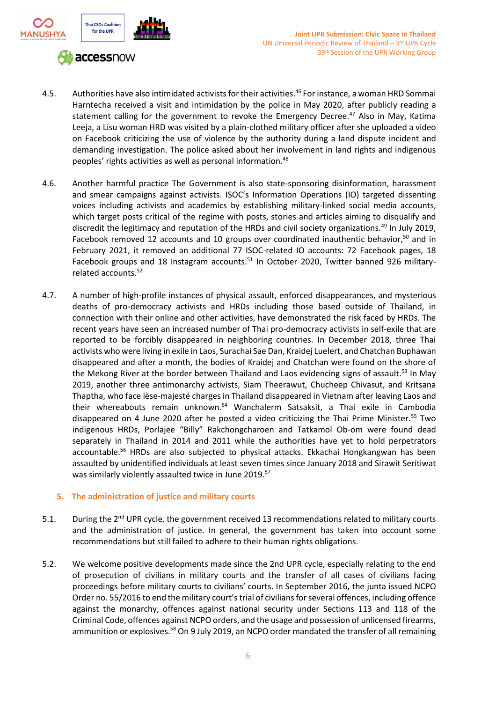

- 4.5. Authorities have also intimidated activists for their activities. <sup>46</sup> For instance, a woman HRD Sommai Harntecha received a visit and intimidation by the police in May 2020, after publicly reading a statement calling for the government to revoke the Emergency Decree.<sup>47</sup> Also in May, Katima Leeja, a Lisu woman HRD was visited by a plain-clothed military officer after she uploaded a video on Facebook criticizing the use of violence by the authority during a land dispute incident and demanding investigation. The police asked about her involvement in land rights and indigenous peoples' rights activities as well as personal information.<sup>48</sup>
- 4.6. Another harmful practice The Government is also state-sponsoring disinformation, harassment and smear campaigns against activists. ISOC's Information Operations (IO) targeted dissenting voices including activists and academics by establishing military-linked social media accounts, which target posts critical of the regime with posts, stories and articles aiming to disqualify and discredit the legitimacy and reputation of the HRDs and civil society organizations.<sup>49</sup> In July 2019, Facebook removed 12 accounts and 10 groups over coordinated inauthentic behavior,<sup>50</sup> and in February 2021, it removed an additional 77 ISOC-related IO accounts: 72 Facebook pages, 18 Facebook groups and 18 Instagram accounts.<sup>51</sup> In October 2020, Twitter banned 926 militaryrelated accounts.<sup>52</sup>
- 4.7. A number of high-profile instances of physical assault, enforced disappearances, and mysterious deaths of pro-democracy activists and HRDs including those based outside of Thailand, in connection with their online and other activities, have demonstrated the risk faced by HRDs. The recent years have seen an increased number of Thai pro-democracy activists in self-exile that are reported to be forcibly disappeared in neighboring countries. In December 2018, three Thai activists who were living in exile in Laos, Surachai Sae Dan, Kraidej Luelert, and Chatchan Buphawan disappeared and after a month, the bodies of Kraidej and Chatchan were found on the shore of the Mekong River at the border between Thailand and Laos evidencing signs of assault.<sup>53</sup> In May 2019, another three antimonarchy activists, Siam Theerawut, Chucheep Chivasut, and Kritsana Thaptha, who face lèse-majesté charges in Thailand disappeared in Vietnam after leaving Laos and their whereabouts remain unknown.<sup>54</sup> Wanchalerm Satsaksit, a Thai exile in Cambodia disappeared on 4 June 2020 after he posted a video criticizing the Thai Prime Minister.<sup>55</sup> Two indigenous HRDs, Porlajee "Billy" Rakchongcharoen and Tatkamol Ob-om were found dead separately in Thailand in 2014 and 2011 while the authorities have yet to hold perpetrators accountable.<sup>56</sup> HRDs are also subjected to physical attacks. Ekkachai Hongkangwan has been assaulted by unidentified individuals at least seven times since January 2018 and Sirawit Seritiwat was similarly violently assaulted twice in June 2019.<sup>57</sup>

#### **5. The administration of justice and military courts**

- 5.1. During the 2<sup>nd</sup> UPR cycle, the government received 13 recommendations related to military courts and the administration of justice. In general, the government has taken into account some recommendations but still failed to adhere to their human rights obligations.
- 5.2. We welcome positive developments made since the 2nd UPR cycle, especially relating to the end of prosecution of civilians in military courts and the transfer of all cases of civilians facing proceedings before military courts to civilians' courts. In September 2016, the junta issued NCPO Order no. 55/2016 to end the military court's trial of civilians for several offences, including offence against the monarchy, offences against national security under Sections 113 and 118 of the Criminal Code, offences against NCPO orders, and the usage and possession of unlicensed firearms, ammunition or explosives.<sup>58</sup> On 9 July 2019, an NCPO order mandated the transfer of all remaining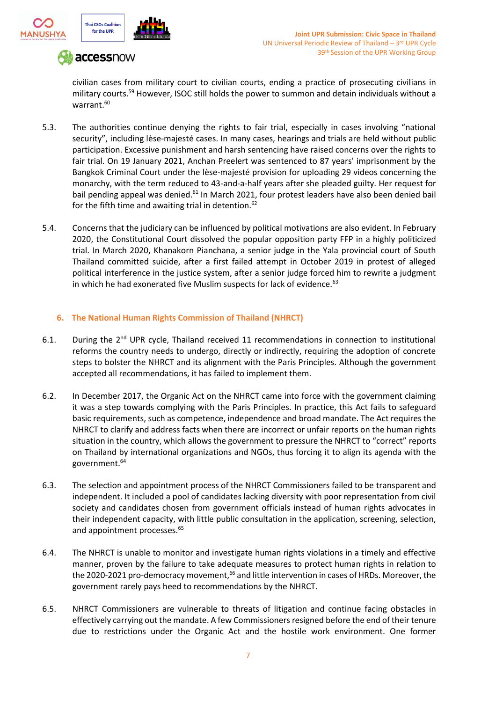



civilian cases from military court to civilian courts, ending a practice of prosecuting civilians in military courts.<sup>59</sup> However, ISOC still holds the power to summon and detain individuals without a warrant.<sup>60</sup>

- 5.3. The authorities continue denying the rights to fair trial, especially in cases involving "national security", including lèse-majesté cases. In many cases, hearings and trials are held without public participation. Excessive punishment and harsh sentencing have raised concerns over the rights to fair trial. On 19 January 2021, Anchan Preelert was sentenced to 87 years' imprisonment by the Bangkok Criminal Court under the lèse-majesté provision for uploading 29 videos concerning the monarchy, with the term reduced to 43-and-a-half years after she pleaded guilty. Her request for bail pending appeal was denied.<sup>61</sup> In March 2021, four protest leaders have also been denied bail for the fifth time and awaiting trial in detention.<sup>62</sup>
- 5.4. Concerns that the judiciary can be influenced by political motivations are also evident. In February 2020, the Constitutional Court dissolved the popular opposition party FFP in a highly politicized trial. In March 2020, Khanakorn Pianchana, a senior judge in the Yala provincial court of South Thailand committed suicide, after a first failed attempt in October 2019 in protest of alleged political interference in the justice system, after a senior judge forced him to rewrite a judgment in which he had exonerated five Muslim suspects for lack of evidence. $^{63}$

### **6. The National Human Rights Commission of Thailand (NHRCT)**

- 6.1. During the 2<sup>nd</sup> UPR cycle, Thailand received 11 recommendations in connection to institutional reforms the country needs to undergo, directly or indirectly, requiring the adoption of concrete steps to bolster the NHRCT and its alignment with the Paris Principles. Although the government accepted all recommendations, it has failed to implement them.
- 6.2. In December 2017, the Organic Act on the NHRCT came into force with the government claiming it was a step towards complying with the Paris Principles. In practice, this Act fails to safeguard basic requirements, such as competence, independence and broad mandate. The Act requires the NHRCT to clarify and address facts when there are incorrect or unfair reports on the human rights situation in the country, which allows the government to pressure the NHRCT to "correct" reports on Thailand by international organizations and NGOs, thus forcing it to align its agenda with the government.<sup>64</sup>
- 6.3. The selection and appointment process of the NHRCT Commissioners failed to be transparent and independent. It included a pool of candidates lacking diversity with poor representation from civil society and candidates chosen from government officials instead of human rights advocates in their independent capacity, with little public consultation in the application, screening, selection, and appointment processes.<sup>65</sup>
- 6.4. The NHRCT is unable to monitor and investigate human rights violations in a timely and effective manner, proven by the failure to take adequate measures to protect human rights in relation to the 2020-2021 pro-democracy movement,<sup>66</sup> and little intervention in cases of HRDs. Moreover, the government rarely pays heed to recommendations by the NHRCT.
- 6.5. NHRCT Commissioners are vulnerable to threats of litigation and continue facing obstacles in effectively carrying out the mandate. A few Commissioners resigned before the end of their tenure due to restrictions under the Organic Act and the hostile work environment. One former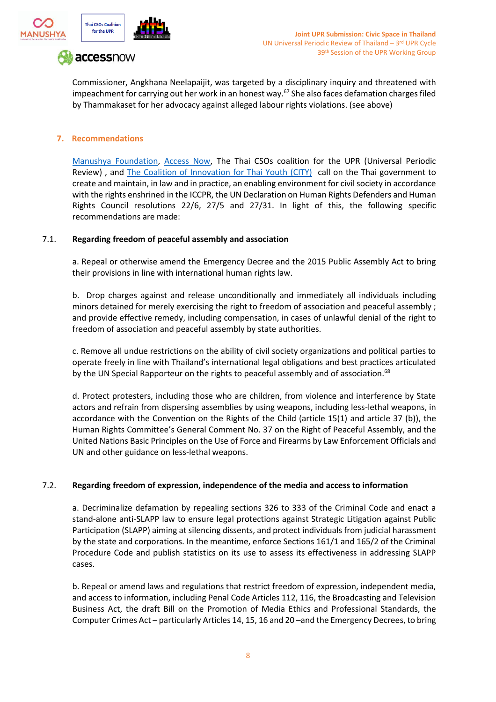



Commissioner, Angkhana Neelapaijit, was targeted by a disciplinary inquiry and threatened with impeachment for carrying out her work in an honest way. <sup>67</sup> She also faces defamation charges filed by Thammakaset for her advocacy against alleged labour rights violations. (see above)

#### **7. Recommendations**

[Manushya Foundation,](https://www.manushyafoundation.org/) [Access Now,](https://www.accessnow.org/) The Thai CSOs coalition for the UPR (Universal Periodic Review), and [The Coalition of Innovation for Thai Youth \(CITY\)](https://city-coalition-of-innovation-for-thai-youth.business.site/) call on the Thai government to create and maintain, in law and in practice, an enabling environment for civil society in accordance with the rights enshrined in the ICCPR, the UN Declaration on Human Rights Defenders and Human Rights Council resolutions 22/6, 27/5 and 27/31. In light of this, the following specific recommendations are made:

#### 7.1. **Regarding freedom of peaceful assembly and association**

a. Repeal or otherwise amend the Emergency Decree and the 2015 Public Assembly Act to bring their provisions in line with international human rights law.

b. Drop charges against and release unconditionally and immediately all individuals including minors detained for merely exercising the right to freedom of association and peaceful assembly ; and provide effective remedy, including compensation, in cases of unlawful denial of the right to freedom of association and peaceful assembly by state authorities.

c. Remove all undue restrictions on the ability of civil society organizations and political parties to operate freely in line with Thailand's international legal obligations and best practices articulated by the UN Special Rapporteur on the rights to peaceful assembly and of association.<sup>68</sup>

d. Protect protesters, including those who are children, from violence and interference by State actors and refrain from dispersing assemblies by using weapons, including less-lethal weapons, in accordance with the Convention on the Rights of the Child (article 15(1) and article 37 (b)), the Human Rights Committee's General Comment No. 37 on the Right of Peaceful Assembly, and the United Nations Basic Principles on the Use of Force and Firearms by Law Enforcement Officials and UN and other guidance on less-lethal weapons.

#### 7.2. **Regarding freedom of expression, independence of the media and access to information**

a. Decriminalize defamation by repealing sections 326 to 333 of the Criminal Code and enact a stand-alone anti-SLAPP law to ensure legal protections against Strategic Litigation against Public Participation (SLAPP) aiming at silencing dissents, and protect individuals from judicial harassment by the state and corporations. In the meantime, enforce Sections 161/1 and 165/2 of the Criminal Procedure Code and publish statistics on its use to assess its effectiveness in addressing SLAPP cases.

b. Repeal or amend laws and regulations that restrict freedom of expression, independent media, and access to information, including Penal Code Articles 112, 116, the Broadcasting and Television Business Act, the draft Bill on the Promotion of Media Ethics and Professional Standards, the Computer Crimes Act – particularly Articles 14, 15, 16 and 20 –and the Emergency Decrees, to bring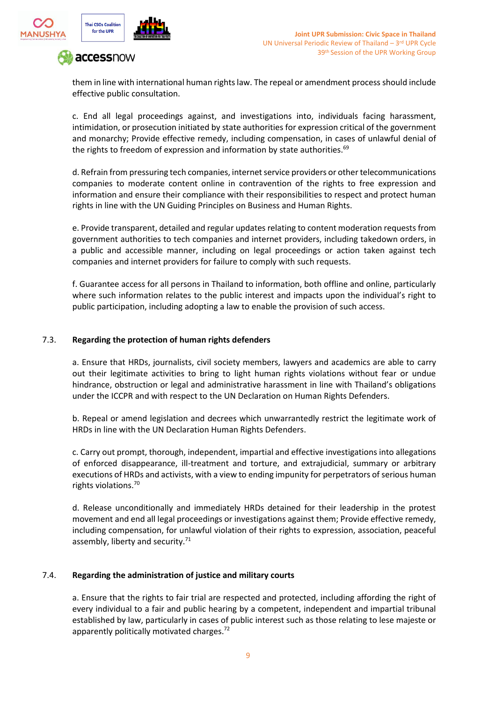



them in line with international human rights law. The repeal or amendment process should include effective public consultation.

c. End all legal proceedings against, and investigations into, individuals facing harassment, intimidation, or prosecution initiated by state authorities for expression critical of the government and monarchy; Provide effective remedy, including compensation, in cases of unlawful denial of the rights to freedom of expression and information by state authorities.<sup>69</sup>

d. Refrain from pressuring tech companies, internet service providers or other telecommunications companies to moderate content online in contravention of the rights to free expression and information and ensure their compliance with their responsibilities to respect and protect human rights in line with the UN Guiding Principles on Business and Human Rights.

e. Provide transparent, detailed and regular updates relating to content moderation requests from government authorities to tech companies and internet providers, including takedown orders, in a public and accessible manner, including on legal proceedings or action taken against tech companies and internet providers for failure to comply with such requests.

f. Guarantee access for all persons in Thailand to information, both offline and online, particularly where such information relates to the public interest and impacts upon the individual's right to public participation, including adopting a law to enable the provision of such access.

### 7.3. **Regarding the protection of human rights defenders**

a. Ensure that HRDs, journalists, civil society members, lawyers and academics are able to carry out their legitimate activities to bring to light human rights violations without fear or undue hindrance, obstruction or legal and administrative harassment in line with Thailand's obligations under the ICCPR and with respect to the UN Declaration on Human Rights Defenders.

b. Repeal or amend legislation and decrees which unwarrantedly restrict the legitimate work of HRDs in line with the UN Declaration Human Rights Defenders.

c. Carry out prompt, thorough, independent, impartial and effective investigations into allegations of enforced disappearance, ill-treatment and torture, and extrajudicial, summary or arbitrary executions of HRDs and activists, with a view to ending impunity for perpetrators of serious human rights violations.<sup>70</sup>

d. Release unconditionally and immediately HRDs detained for their leadership in the protest movement and end all legal proceedings or investigations against them; Provide effective remedy, including compensation, for unlawful violation of their rights to expression, association, peaceful assembly, liberty and security.<sup>71</sup>

#### 7.4. **Regarding the administration of justice and military courts**

a. Ensure that the rights to fair trial are respected and protected, including affording the right of every individual to a fair and public hearing by a competent, independent and impartial tribunal established by law, particularly in cases of public interest such as those relating to lese majeste or apparently politically motivated charges. $^{2}$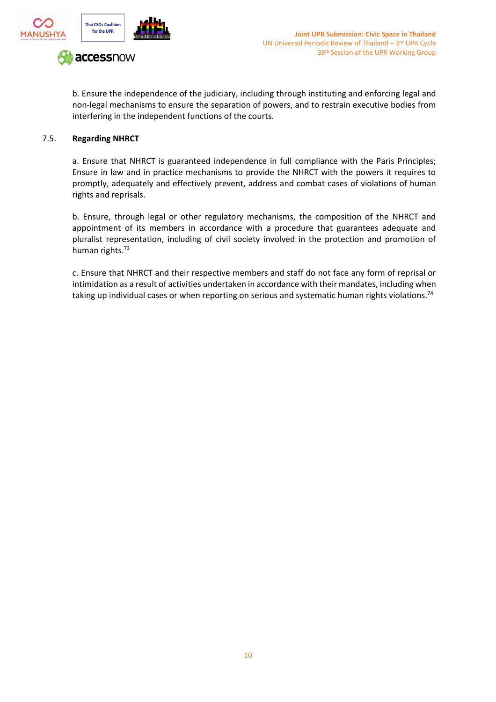

b. Ensure the independence of the judiciary, including through instituting and enforcing legal and non-legal mechanisms to ensure the separation of powers, and to restrain executive bodies from interfering in the independent functions of the courts.

#### 7.5. **Regarding NHRCT**

a. Ensure that NHRCT is guaranteed independence in full compliance with the Paris Principles; Ensure in law and in practice mechanisms to provide the NHRCT with the powers it requires to promptly, adequately and effectively prevent, address and combat cases of violations of human rights and reprisals.

b. Ensure, through legal or other regulatory mechanisms, the composition of the NHRCT and appointment of its members in accordance with a procedure that guarantees adequate and pluralist representation, including of civil society involved in the protection and promotion of human rights.<sup>73</sup>

c. Ensure that NHRCT and their respective members and staff do not face any form of reprisal or intimidation as a result of activities undertaken in accordance with their mandates, including when taking up individual cases or when reporting on serious and systematic human rights violations.<sup>74</sup>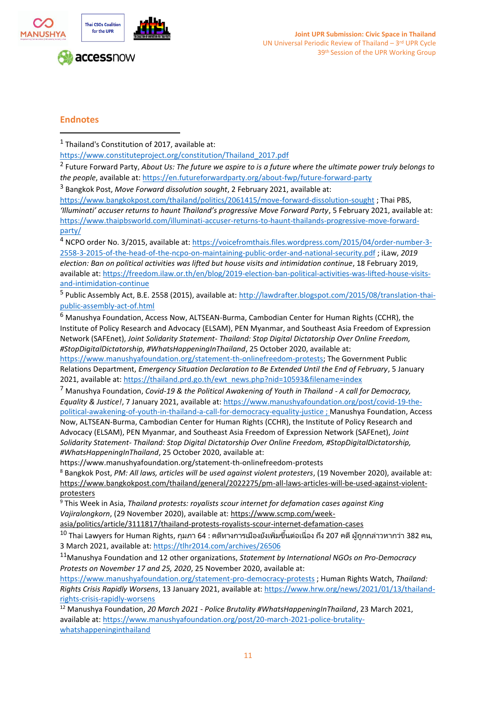

## **Endnotes**

 $<sup>1</sup>$  Thailand's Constitution of 2017, available at:</sup>

[https://www.constituteproject.org/constitution/Thailand\\_2017.pdf](https://www.constituteproject.org/constitution/Thailand_2017.pdf)

2 Future Forward Party, *About Us: The future we aspire to is a future where the ultimate power truly belongs to the people*, available at:<https://en.futureforwardparty.org/about-fwp/future-forward-party>

<sup>3</sup> Bangkok Post, *Move Forward dissolution sought*, 2 February 2021, available at:

<https://www.bangkokpost.com/thailand/politics/2061415/move-forward-dissolution-sought> ; Thai PBS, *'Illuminati' accuser returns to haunt Thailand's progressive Move Forward Party*, 5 February 2021, available at: [https://www.thaipbsworld.com/illuminati-accuser-returns-to-haunt-thailands-progressive-move-forward](https://www.thaipbsworld.com/illuminati-accuser-returns-to-haunt-thailands-progressive-move-forward-party/)[party/](https://www.thaipbsworld.com/illuminati-accuser-returns-to-haunt-thailands-progressive-move-forward-party/)

<sup>4</sup> NCPO order No. 3/2015, available at[: https://voicefromthais.files.wordpress.com/2015/04/order-number-3-](https://voicefromthais.files.wordpress.com/2015/04/order-number-3-2558-3-2015-of-the-head-of-the-ncpo-on-maintaining-public-order-and-national-security.pdf) [2558-3-2015-of-the-head-of-the-ncpo-on-maintaining-public-order-and-national-security.pdf](https://voicefromthais.files.wordpress.com/2015/04/order-number-3-2558-3-2015-of-the-head-of-the-ncpo-on-maintaining-public-order-and-national-security.pdf) ; iLaw, *2019 election: Ban on political activities was lifted but house visits and intimidation continue*, 18 February 2019, available at[: https://freedom.ilaw.or.th/en/blog/2019-election-ban-political-activities-was-lifted-house-visits](https://freedom.ilaw.or.th/en/blog/2019-election-ban-political-activities-was-lifted-house-visits-and-intimidation-continue)[and-intimidation-continue](https://freedom.ilaw.or.th/en/blog/2019-election-ban-political-activities-was-lifted-house-visits-and-intimidation-continue)

<sup>5</sup> Public Assembly Act, B.E. 2558 (2015), available at[: http://lawdrafter.blogspot.com/2015/08/translation-thai](http://lawdrafter.blogspot.com/2015/08/translation-thai-public-assembly-act-of.html)[public-assembly-act-of.html](http://lawdrafter.blogspot.com/2015/08/translation-thai-public-assembly-act-of.html)

<sup>6</sup> Manushya Foundation, Access Now, ALTSEAN-Burma, Cambodian Center for Human Rights (CCHR), the Institute of Policy Research and Advocacy (ELSAM), PEN Myanmar, and Southeast Asia Freedom of Expression Network (SAFEnet), *Joint Solidarity Statement- Thailand: Stop Digital Dictatorship Over Online Freedom, #StopDigitalDictatorship, #WhatsHappeningInThailand*, 25 October 2020, available at:

[https://www.manushyafoundation.org/statement-th-onlinefreedom-protests;](https://www.manushyafoundation.org/statement-th-onlinefreedom-protests) The Government Public Relations Department, *Emergency Situation Declaration to Be Extended Until the End of February*, 5 January 2021, available at[: https://thailand.prd.go.th/ewt\\_news.php?nid=10593&filename=index](https://thailand.prd.go.th/ewt_news.php?nid=10593&filename=index) 

<sup>7</sup> Manushya Foundation, *Covid-19 & the Political Awakening of Youth in Thailand - A call for Democracy, Equality & Justice!*, 7 January 2021, available at: [https://www.manushyafoundation.org/post/covid-19-the](https://www.manushyafoundation.org/post/covid-19-the-political-awakening-of-youth-in-thailand-a-call-for-democracy-equality-justice)[political-awakening-of-youth-in-thailand-a-call-for-democracy-equality-justice](https://www.manushyafoundation.org/post/covid-19-the-political-awakening-of-youth-in-thailand-a-call-for-democracy-equality-justice) ; Manushya Foundation, Access

Now, ALTSEAN-Burma, Cambodian Center for Human Rights (CCHR), the Institute of Policy Research and Advocacy (ELSAM), PEN Myanmar, and Southeast Asia Freedom of Expression Network (SAFEnet), *Joint Solidarity Statement- Thailand: Stop Digital Dictatorship Over Online Freedom, #StopDigitalDictatorship, #WhatsHappeningInThailand*, 25 October 2020, available at:

https://www.manushyafoundation.org/statement-th-onlinefreedom-protests

<sup>8</sup> Bangkok Post, *PM: All laws, articles will be used against violent protesters*, (19 November 2020), available at: [https://www.bangkokpost.com/thailand/general/2022275/pm-all-laws-articles-will-be-used-against-violent](https://www.bangkokpost.com/thailand/general/2022275/pm-all-laws-articles-will-be-used-against-violent-protesters)[protesters](https://www.bangkokpost.com/thailand/general/2022275/pm-all-laws-articles-will-be-used-against-violent-protesters)

<sup>9</sup> This Week in Asia, *Thailand protests: royalists scour internet for defamation cases against King Vajiralongkorn*, (29 November 2020), available at: [https://www.scmp.com/week-](https://www.scmp.com/week-asia/politics/article/3111817/thailand-protests-royalists-scour-internet-defamation-cases)

[asia/politics/article/3111817/thailand-protests-royalists-scour-internet-defamation-cases](https://www.scmp.com/week-asia/politics/article/3111817/thailand-protests-royalists-scour-internet-defamation-cases)

 $^{\rm 10}$  Thai Lawyers for Human Rights, กุมภา 64 : คดีทางการเมืองยังเพิ่มขึ้นต่อเนื่อง ถึง 207 คดี ผู้ถูกกล่าวหากว่า 382 คน, 3 March 2021, available at:<https://tlhr2014.com/archives/26506>

<sup>11</sup>Manushya Foundation and 12 other organizations, *Statement by International NGOs on Pro-Democracy Protests on November 17 and 25, 2020*, 25 November 2020, available at:

<https://www.manushyafoundation.org/statement-pro-democracy-protests> ; Human Rights Watch, *Thailand: Rights Crisis Rapidly Worsens*, 13 January 2021, available at: [https://www.hrw.org/news/2021/01/13/thailand](https://www.hrw.org/news/2021/01/13/thailand-rights-crisis-rapidly-worsens)[rights-crisis-rapidly-worsens](https://www.hrw.org/news/2021/01/13/thailand-rights-crisis-rapidly-worsens)

<sup>12</sup> Manushya Foundation, *20 March 2021 - Police Brutality #WhatsHappeningInThailand*, 23 March 2021, available at[: https://www.manushyafoundation.org/post/20-march-2021-police-brutality](https://www.manushyafoundation.org/post/20-march-2021-police-brutality-whatshappeninginthailand)[whatshappeninginthailand](https://www.manushyafoundation.org/post/20-march-2021-police-brutality-whatshappeninginthailand)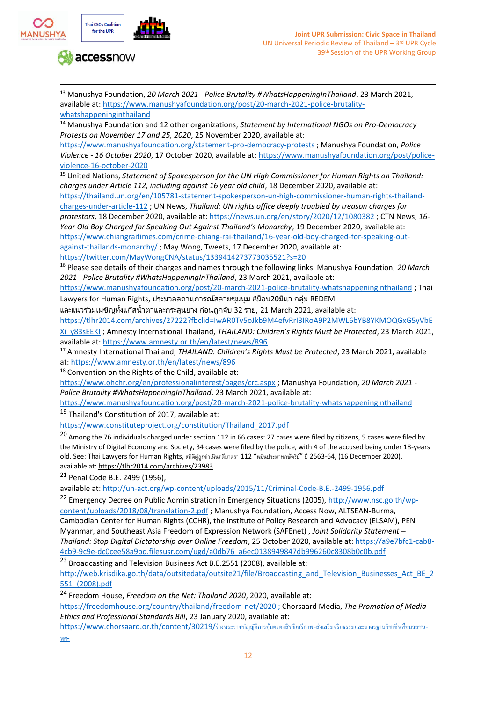

<sup>13</sup> Manushya Foundation, *20 March 2021 - Police Brutality #WhatsHappeningInThailand*, 23 March 2021, available at[: https://www.manushyafoundation.org/post/20-march-2021-police-brutality](https://www.manushyafoundation.org/post/20-march-2021-police-brutality-whatshappeninginthailand)[whatshappeninginthailand](https://www.manushyafoundation.org/post/20-march-2021-police-brutality-whatshappeninginthailand)

<sup>14</sup> Manushya Foundation and 12 other organizations, *Statement by International NGOs on Pro-Democracy Protests on November 17 and 25, 2020*, 25 November 2020, available at:

<https://www.manushyafoundation.org/statement-pro-democracy-protests> ; Manushya Foundation, *Police Violence - 16 October 2020*, 17 October 2020, available at: [https://www.manushyafoundation.org/post/police](https://www.manushyafoundation.org/post/police-violence-16-october-2020)[violence-16-october-2020](https://www.manushyafoundation.org/post/police-violence-16-october-2020)

<sup>15</sup> United Nations, *Statement of Spokesperson for the UN High Commissioner for Human Rights on Thailand: charges under Article 112, including against 16 year old child*, 18 December 2020, available at:

[https://thailand.un.org/en/105781-statement-spokesperson-un-high-commissioner-human-rights-thailand](https://thailand.un.org/en/105781-statement-spokesperson-un-high-commissioner-human-rights-thailand-charges-under-article-112)[charges-under-article-112](https://thailand.un.org/en/105781-statement-spokesperson-un-high-commissioner-human-rights-thailand-charges-under-article-112) ; UN News, *Thailand: UN rights office deeply troubled by treason charges for protestors*, 18 December 2020, available at[: https://news.un.org/en/story/2020/12/1080382](https://news.un.org/en/story/2020/12/1080382) ; CTN News, *16- Year Old Boy Charged for Speaking Out Against Thailand's Monarchy*, 19 December 2020, available at: [https://www.chiangraitimes.com/crime-chiang-rai-thailand/16-year-old-boy-charged-for-speaking-out](https://www.chiangraitimes.com/crime-chiang-rai-thailand/16-year-old-boy-charged-for-speaking-out-against-thailands-monarchy/)[against-thailands-monarchy/](https://www.chiangraitimes.com/crime-chiang-rai-thailand/16-year-old-boy-charged-for-speaking-out-against-thailands-monarchy/); May Wong, Tweets, 17 December 2020, available at:

<https://twitter.com/MayWongCNA/status/1339414273773035521?s=20>

<sup>16</sup> Please see details of their charges and names through the following links. Manushya Foundation, *20 March 2021 - Police Brutality #WhatsHappeningInThailand*, 23 March 2021, available at:

<https://www.manushyafoundation.org/post/20-march-2021-police-brutality-whatshappeninginthailand> ; Thai Lawyers for Human Rights, ประมวลสถานการณ์สลายชุมนุม #ม็อบ20มีนา กลุ่ม REDEM

และแนวร่วมเผชิญทั้งแก๊สน้ำตาและกระสุนยาง ก่อนถูกจับ 32 ราย, 21 March 2021, available at:

[https://tlhr2014.com/archives/27222?fbclid=IwAR0Tv5oJkb9M4efvRrI3IRoA9P2MWL6bYB8YKMOQGxG5yVbE](https://tlhr2014.com/archives/27222?fbclid=IwAR0Tv5oJkb9M4efvRrI3IRoA9P2MWL6bYB8YKMOQGxG5yVbEXi_y83sEEKI)

[Xi\\_y83sEEKI](https://tlhr2014.com/archives/27222?fbclid=IwAR0Tv5oJkb9M4efvRrI3IRoA9P2MWL6bYB8YKMOQGxG5yVbEXi_y83sEEKI) ; Amnesty International Thailand, *THAILAND: Children's Rights Must be Protected*, 23 March 2021, available at[: https://www.amnesty.or.th/en/latest/news/896](https://www.amnesty.or.th/en/latest/news/896)

<sup>17</sup> Amnesty International Thailand, *THAILAND: Children's Rights Must be Protected*, 23 March 2021, available at:<https://www.amnesty.or.th/en/latest/news/896>

18 Convention on the Rights of the Child, available at:

<https://www.ohchr.org/en/professionalinterest/pages/crc.aspx> ; Manushya Foundation, *20 March 2021 - Police Brutality #WhatsHappeningInThailand*, 23 March 2021, available at:

<https://www.manushyafoundation.org/post/20-march-2021-police-brutality-whatshappeninginthailand> <sup>19</sup> Thailand's Constitution of 2017, available at:

[https://www.constituteproject.org/constitution/Thailand\\_2017.pdf](https://www.constituteproject.org/constitution/Thailand_2017.pdf)

<sup>20</sup> Among the 76 individuals charged under section 112 in 66 cases: 27 cases were filed by citizens, 5 cases were filed by the Ministry of Digital Economy and Society, 34 cases were filed by the police, with 4 of the accused being under 18-years old. See: Thai Lawyers for Human Rights, สถิติผู้ถูกดำเนินคดีมาตรา 112 "หมิ่นประมาทกษัตริย์" ปี 2563-64, (16 December 2020), available at[: https://tlhr2014.com/archives/23983](https://tlhr2014.com/archives/23983)

<sup>21</sup> Penal Code B.E. 2499 (1956),

available at[: http://un-act.org/wp-content/uploads/2015/11/Criminal-Code-B.E.-2499-1956.pdf](http://un-act.org/wp-content/uploads/2015/11/Criminal-Code-B.E.-2499-1956.pdf)

<sup>22</sup> Emergency Decree on Public Administration in Emergency Situations (2005), [http://www.nsc.go.th/wp](http://www.nsc.go.th/wp-content/uploads/2018/08/translation-2.pdf)[content/uploads/2018/08/translation-2.pdf](http://www.nsc.go.th/wp-content/uploads/2018/08/translation-2.pdf) ; Manushya Foundation, Access Now, ALTSEAN-Burma, Cambodian Center for Human Rights (CCHR), the Institute of Policy Research and Advocacy (ELSAM), PEN Myanmar, and Southeast Asia Freedom of Expression Network (SAFEnet) , *Joint Solidarity Statement – Thailand: Stop Digital Dictatorship over Online Freedom*, 25 October 2020, available at[: https://a9e7bfc1-cab8-](https://a9e7bfc1-cab8-4cb9-9c9e-dc0cee58a9bd.filesusr.com/ugd/a0db76_a6ec0138949847db996260c8308b0c0b.pdf) [4cb9-9c9e-dc0cee58a9bd.filesusr.com/ugd/a0db76\\_a6ec0138949847db996260c8308b0c0b.pdf](https://a9e7bfc1-cab8-4cb9-9c9e-dc0cee58a9bd.filesusr.com/ugd/a0db76_a6ec0138949847db996260c8308b0c0b.pdf)

<sup>23</sup> Broadcasting and Television Business Act B.E.2551 (2008), available at:

[http://web.krisdika.go.th/data/outsitedata/outsite21/file/Broadcasting\\_and\\_Television\\_Businesses\\_Act\\_BE\\_2](http://web.krisdika.go.th/data/outsitedata/outsite21/file/Broadcasting_and_Television_Businesses_Act_BE_2551_(2008).pdf) [551\\_\(2008\).pdf](http://web.krisdika.go.th/data/outsitedata/outsite21/file/Broadcasting_and_Television_Businesses_Act_BE_2551_(2008).pdf)

<sup>24</sup> Freedom House, *Freedom on the Net: Thailand 2020*, 2020, available at:

<https://freedomhouse.org/country/thailand/freedom-net/2020> ; Chorsaard Media, *The Promotion of Media Ethics and Professional Standards Bill*, 23 January 2020, available at:

[https://www.chorsaard.or.th/content/30219/](https://www.chorsaard.or.th/content/30219/%E0%B8%A3%E0%B9%88%E0%B8%B2%E0%B8%87%E0%B8%9E%E0%B8%A3%E0%B8%B0%E0%B8%A3%E0%B8%B2%E0%B8%8A%E0%B8%9A%E0%B8%B1%E0%B8%8D%E0%B8%8D%E0%B8%B1%E0%B8%95%E0%B8%B4%E0%B8%81%E0%B8%B2%E0%B8%A3%E0%B8%84%E0%B8%B8%E0%B9%89%E0%B8%A1%E0%B8%84%E0%B8%A3%E0%B8%AD%E0%B8%87%E0%B8%AA%E0%B8%B4%E0%B8%97%E0%B8%98%E0%B8%B4%E0%B9%80%E0%B8%AA%E0%B8%A3%E0%B8%B5%E0%B8%A0%E0%B8%B2%E0%B8%9E-%E0%B8%AA%E0%B9%88%E0%B8%87%E0%B9%80%E0%B8%AA%E0%B8%A3%E0%B8%B4%E0%B8%A1%E0%B8%88%E0%B8%A3%E0%B8%B4%E0%B8%A2%E0%B8%98%E0%B8%A3%E0%B8%A3%E0%B8%A1%E0%B9%81%E0%B8%A5%E0%B8%B0%E0%B8%A1%E0%B8%B2%E0%B8%95%E0%B8%A3%E0%B8%90%E0%B8%B2%E0%B8%99%E0%B8%A7%E0%B8%B4%E0%B8%8A%E0%B8%B2%E0%B8%8A%E0%B8%B5%E0%B8%9E%E0%B8%AA%E0%B8%B7%E0%B9%88%E0%B8%AD%E0%B8%A1%E0%B8%A7%E0%B8%A5%E0%B8%8A%E0%B8%99-%E0%B8%9E%E0%B8%A8-)[ร่างพระราชบัญญัติการคุ้มครองสิทธิเสรีภาพ](https://www.chorsaard.or.th/content/30219/%E0%B8%A3%E0%B9%88%E0%B8%B2%E0%B8%87%E0%B8%9E%E0%B8%A3%E0%B8%B0%E0%B8%A3%E0%B8%B2%E0%B8%8A%E0%B8%9A%E0%B8%B1%E0%B8%8D%E0%B8%8D%E0%B8%B1%E0%B8%95%E0%B8%B4%E0%B8%81%E0%B8%B2%E0%B8%A3%E0%B8%84%E0%B8%B8%E0%B9%89%E0%B8%A1%E0%B8%84%E0%B8%A3%E0%B8%AD%E0%B8%87%E0%B8%AA%E0%B8%B4%E0%B8%97%E0%B8%98%E0%B8%B4%E0%B9%80%E0%B8%AA%E0%B8%A3%E0%B8%B5%E0%B8%A0%E0%B8%B2%E0%B8%9E-%E0%B8%AA%E0%B9%88%E0%B8%87%E0%B9%80%E0%B8%AA%E0%B8%A3%E0%B8%B4%E0%B8%A1%E0%B8%88%E0%B8%A3%E0%B8%B4%E0%B8%A2%E0%B8%98%E0%B8%A3%E0%B8%A3%E0%B8%A1%E0%B9%81%E0%B8%A5%E0%B8%B0%E0%B8%A1%E0%B8%B2%E0%B8%95%E0%B8%A3%E0%B8%90%E0%B8%B2%E0%B8%99%E0%B8%A7%E0%B8%B4%E0%B8%8A%E0%B8%B2%E0%B8%8A%E0%B8%B5%E0%B8%9E%E0%B8%AA%E0%B8%B7%E0%B9%88%E0%B8%AD%E0%B8%A1%E0%B8%A7%E0%B8%A5%E0%B8%8A%E0%B8%99-%E0%B8%9E%E0%B8%A8-)[-](https://www.chorsaard.or.th/content/30219/%E0%B8%A3%E0%B9%88%E0%B8%B2%E0%B8%87%E0%B8%9E%E0%B8%A3%E0%B8%B0%E0%B8%A3%E0%B8%B2%E0%B8%8A%E0%B8%9A%E0%B8%B1%E0%B8%8D%E0%B8%8D%E0%B8%B1%E0%B8%95%E0%B8%B4%E0%B8%81%E0%B8%B2%E0%B8%A3%E0%B8%84%E0%B8%B8%E0%B9%89%E0%B8%A1%E0%B8%84%E0%B8%A3%E0%B8%AD%E0%B8%87%E0%B8%AA%E0%B8%B4%E0%B8%97%E0%B8%98%E0%B8%B4%E0%B9%80%E0%B8%AA%E0%B8%A3%E0%B8%B5%E0%B8%A0%E0%B8%B2%E0%B8%9E-%E0%B8%AA%E0%B9%88%E0%B8%87%E0%B9%80%E0%B8%AA%E0%B8%A3%E0%B8%B4%E0%B8%A1%E0%B8%88%E0%B8%A3%E0%B8%B4%E0%B8%A2%E0%B8%98%E0%B8%A3%E0%B8%A3%E0%B8%A1%E0%B9%81%E0%B8%A5%E0%B8%B0%E0%B8%A1%E0%B8%B2%E0%B8%95%E0%B8%A3%E0%B8%90%E0%B8%B2%E0%B8%99%E0%B8%A7%E0%B8%B4%E0%B8%8A%E0%B8%B2%E0%B8%8A%E0%B8%B5%E0%B8%9E%E0%B8%AA%E0%B8%B7%E0%B9%88%E0%B8%AD%E0%B8%A1%E0%B8%A7%E0%B8%A5%E0%B8%8A%E0%B8%99-%E0%B8%9E%E0%B8%A8-)[ส่งเสริมจริยธรรมและมาตรฐานวิชาชีพสื่อมวลชน](https://www.chorsaard.or.th/content/30219/%E0%B8%A3%E0%B9%88%E0%B8%B2%E0%B8%87%E0%B8%9E%E0%B8%A3%E0%B8%B0%E0%B8%A3%E0%B8%B2%E0%B8%8A%E0%B8%9A%E0%B8%B1%E0%B8%8D%E0%B8%8D%E0%B8%B1%E0%B8%95%E0%B8%B4%E0%B8%81%E0%B8%B2%E0%B8%A3%E0%B8%84%E0%B8%B8%E0%B9%89%E0%B8%A1%E0%B8%84%E0%B8%A3%E0%B8%AD%E0%B8%87%E0%B8%AA%E0%B8%B4%E0%B8%97%E0%B8%98%E0%B8%B4%E0%B9%80%E0%B8%AA%E0%B8%A3%E0%B8%B5%E0%B8%A0%E0%B8%B2%E0%B8%9E-%E0%B8%AA%E0%B9%88%E0%B8%87%E0%B9%80%E0%B8%AA%E0%B8%A3%E0%B8%B4%E0%B8%A1%E0%B8%88%E0%B8%A3%E0%B8%B4%E0%B8%A2%E0%B8%98%E0%B8%A3%E0%B8%A3%E0%B8%A1%E0%B9%81%E0%B8%A5%E0%B8%B0%E0%B8%A1%E0%B8%B2%E0%B8%95%E0%B8%A3%E0%B8%90%E0%B8%B2%E0%B8%99%E0%B8%A7%E0%B8%B4%E0%B8%8A%E0%B8%B2%E0%B8%8A%E0%B8%B5%E0%B8%9E%E0%B8%AA%E0%B8%B7%E0%B9%88%E0%B8%AD%E0%B8%A1%E0%B8%A7%E0%B8%A5%E0%B8%8A%E0%B8%99-%E0%B8%9E%E0%B8%A8-)[-](https://www.chorsaard.or.th/content/30219/%E0%B8%A3%E0%B9%88%E0%B8%B2%E0%B8%87%E0%B8%9E%E0%B8%A3%E0%B8%B0%E0%B8%A3%E0%B8%B2%E0%B8%8A%E0%B8%9A%E0%B8%B1%E0%B8%8D%E0%B8%8D%E0%B8%B1%E0%B8%95%E0%B8%B4%E0%B8%81%E0%B8%B2%E0%B8%A3%E0%B8%84%E0%B8%B8%E0%B9%89%E0%B8%A1%E0%B8%84%E0%B8%A3%E0%B8%AD%E0%B8%87%E0%B8%AA%E0%B8%B4%E0%B8%97%E0%B8%98%E0%B8%B4%E0%B9%80%E0%B8%AA%E0%B8%A3%E0%B8%B5%E0%B8%A0%E0%B8%B2%E0%B8%9E-%E0%B8%AA%E0%B9%88%E0%B8%87%E0%B9%80%E0%B8%AA%E0%B8%A3%E0%B8%B4%E0%B8%A1%E0%B8%88%E0%B8%A3%E0%B8%B4%E0%B8%A2%E0%B8%98%E0%B8%A3%E0%B8%A3%E0%B8%A1%E0%B9%81%E0%B8%A5%E0%B8%B0%E0%B8%A1%E0%B8%B2%E0%B8%95%E0%B8%A3%E0%B8%90%E0%B8%B2%E0%B8%99%E0%B8%A7%E0%B8%B4%E0%B8%8A%E0%B8%B2%E0%B8%8A%E0%B8%B5%E0%B8%9E%E0%B8%AA%E0%B8%B7%E0%B9%88%E0%B8%AD%E0%B8%A1%E0%B8%A7%E0%B8%A5%E0%B8%8A%E0%B8%99-%E0%B8%9E%E0%B8%A8-)[พศ](https://www.chorsaard.or.th/content/30219/%E0%B8%A3%E0%B9%88%E0%B8%B2%E0%B8%87%E0%B8%9E%E0%B8%A3%E0%B8%B0%E0%B8%A3%E0%B8%B2%E0%B8%8A%E0%B8%9A%E0%B8%B1%E0%B8%8D%E0%B8%8D%E0%B8%B1%E0%B8%95%E0%B8%B4%E0%B8%81%E0%B8%B2%E0%B8%A3%E0%B8%84%E0%B8%B8%E0%B9%89%E0%B8%A1%E0%B8%84%E0%B8%A3%E0%B8%AD%E0%B8%87%E0%B8%AA%E0%B8%B4%E0%B8%97%E0%B8%98%E0%B8%B4%E0%B9%80%E0%B8%AA%E0%B8%A3%E0%B8%B5%E0%B8%A0%E0%B8%B2%E0%B8%9E-%E0%B8%AA%E0%B9%88%E0%B8%87%E0%B9%80%E0%B8%AA%E0%B8%A3%E0%B8%B4%E0%B8%A1%E0%B8%88%E0%B8%A3%E0%B8%B4%E0%B8%A2%E0%B8%98%E0%B8%A3%E0%B8%A3%E0%B8%A1%E0%B9%81%E0%B8%A5%E0%B8%B0%E0%B8%A1%E0%B8%B2%E0%B8%95%E0%B8%A3%E0%B8%90%E0%B8%B2%E0%B8%99%E0%B8%A7%E0%B8%B4%E0%B8%8A%E0%B8%B2%E0%B8%8A%E0%B8%B5%E0%B8%9E%E0%B8%AA%E0%B8%B7%E0%B9%88%E0%B8%AD%E0%B8%A1%E0%B8%A7%E0%B8%A5%E0%B8%8A%E0%B8%99-%E0%B8%9E%E0%B8%A8-)[-](https://www.chorsaard.or.th/content/30219/%E0%B8%A3%E0%B9%88%E0%B8%B2%E0%B8%87%E0%B8%9E%E0%B8%A3%E0%B8%B0%E0%B8%A3%E0%B8%B2%E0%B8%8A%E0%B8%9A%E0%B8%B1%E0%B8%8D%E0%B8%8D%E0%B8%B1%E0%B8%95%E0%B8%B4%E0%B8%81%E0%B8%B2%E0%B8%A3%E0%B8%84%E0%B8%B8%E0%B9%89%E0%B8%A1%E0%B8%84%E0%B8%A3%E0%B8%AD%E0%B8%87%E0%B8%AA%E0%B8%B4%E0%B8%97%E0%B8%98%E0%B8%B4%E0%B9%80%E0%B8%AA%E0%B8%A3%E0%B8%B5%E0%B8%A0%E0%B8%B2%E0%B8%9E-%E0%B8%AA%E0%B9%88%E0%B8%87%E0%B9%80%E0%B8%AA%E0%B8%A3%E0%B8%B4%E0%B8%A1%E0%B8%88%E0%B8%A3%E0%B8%B4%E0%B8%A2%E0%B8%98%E0%B8%A3%E0%B8%A3%E0%B8%A1%E0%B9%81%E0%B8%A5%E0%B8%B0%E0%B8%A1%E0%B8%B2%E0%B8%95%E0%B8%A3%E0%B8%90%E0%B8%B2%E0%B8%99%E0%B8%A7%E0%B8%B4%E0%B8%8A%E0%B8%B2%E0%B8%8A%E0%B8%B5%E0%B8%9E%E0%B8%AA%E0%B8%B7%E0%B9%88%E0%B8%AD%E0%B8%A1%E0%B8%A7%E0%B8%A5%E0%B8%8A%E0%B8%99-%E0%B8%9E%E0%B8%A8-)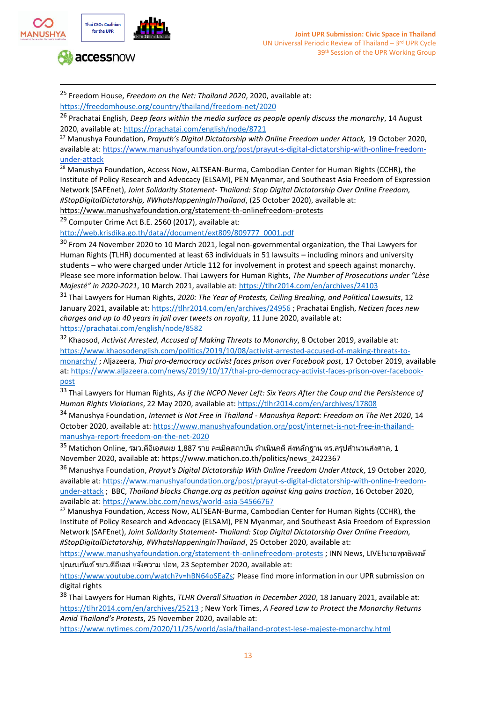

<sup>25</sup> Freedom House, *Freedom on the Net: Thailand 2020*, 2020, available at: <https://freedomhouse.org/country/thailand/freedom-net/2020>

<sup>26</sup> Prachatai English, *Deep fears within the media surface as people openly discuss the monarchy*, 14 August 2020, available at[: https://prachatai.com/english/node/8721](https://prachatai.com/english/node/8721) 

<sup>27</sup> Manushya Foundation, *Prayuth's Digital Dictatorship with Online Freedom under Attack,* 19 October 2020, available at[: https://www.manushyafoundation.org/post/prayut-s-digital-dictatorship-with-online-freedom](https://www.manushyafoundation.org/post/prayut-s-digital-dictatorship-with-online-freedom-under-attack)[under-attack](https://www.manushyafoundation.org/post/prayut-s-digital-dictatorship-with-online-freedom-under-attack)

<sup>28</sup> Manushya Foundation, Access Now, ALTSEAN-Burma, Cambodian Center for Human Rights (CCHR), the Institute of Policy Research and Advocacy (ELSAM), PEN Myanmar, and Southeast Asia Freedom of Expression Network (SAFEnet), *Joint Solidarity Statement- Thailand: Stop Digital Dictatorship Over Online Freedom, #StopDigitalDictatorship, #WhatsHappeningInThailand*, (25 October 2020), available at: <https://www.manushyafoundation.org/statement-th-onlinefreedom-protests>

<sup>29</sup> Computer Crime Act B.E. 2560 (2017), available at:

[http://web.krisdika.go.th/data//document/ext809/809777\\_0001.pdf](http://web.krisdika.go.th/data/document/ext809/809777_0001.pdf) 

<sup>30</sup> From 24 November 2020 to 10 March 2021, legal non-governmental organization, the Thai Lawyers for Human Rights (TLHR) documented at least 63 individuals in 51 lawsuits – including minors and university students – who were charged under Article 112 for involvement in protest and speech against monarchy. Please see more information below. Thai Lawyers for Human Rights, *The Number of Prosecutions under "Lèse Majesté" in 2020-2021*, 10 March 2021, available at[: https://tlhr2014.com/en/archives/24103](https://tlhr2014.com/en/archives/24103)

<sup>31</sup> Thai Lawyers for Human Rights, *2020: The Year of Protests, Ceiling Breaking, and Political Lawsuits*, 12 January 2021, available at:<https://tlhr2014.com/en/archives/24956> ; Prachatai English, *Netizen faces new charges and up to 40 years in jail over tweets on royalty*, 11 June 2020, available at: <https://prachatai.com/english/node/8582>

<sup>32</sup> Khaosod, *Activist Arrested, Accused of Making Threats to Monarchy*, 8 October 2019, available at: [https://www.khaosodenglish.com/politics/2019/10/08/activist-arrested-accused-of-making-threats-to](https://www.khaosodenglish.com/politics/2019/10/08/activist-arrested-accused-of-making-threats-to-monarchy/)[monarchy/](https://www.khaosodenglish.com/politics/2019/10/08/activist-arrested-accused-of-making-threats-to-monarchy/) ; Aljazeera, *Thai pro-democracy activist faces prison over Facebook post*, 17 October 2019, available at: [https://www.aljazeera.com/news/2019/10/17/thai-pro-democracy-activist-faces-prison-over-facebook](https://www.aljazeera.com/news/2019/10/17/thai-pro-democracy-activist-faces-prison-over-facebook-post)[post](https://www.aljazeera.com/news/2019/10/17/thai-pro-democracy-activist-faces-prison-over-facebook-post)

<sup>33</sup> Thai Lawyers for Human Rights, *As if the NCPO Never Left: Six Years After the Coup and the Persistence of Human Rights Violations*, 22 May 2020, available at[: https://tlhr2014.com/en/archives/17808](https://tlhr2014.com/en/archives/17808)

<sup>34</sup> Manushya Foundation, *Internet is Not Free in Thailand - Manushya Report: Freedom on The Net 2020*, 14 October 2020, available at: [https://www.manushyafoundation.org/post/internet-is-not-free-in-thailand](https://www.manushyafoundation.org/post/internet-is-not-free-in-thailand-manushya-report-freedom-on-the-net-2020)[manushya-report-freedom-on-the-net-2020](https://www.manushyafoundation.org/post/internet-is-not-free-in-thailand-manushya-report-freedom-on-the-net-2020)

 $^{35}$  Matichon Online, รมว.ดีอีเอสเผย 1,887 ราย ละเมิดสถาบัน ดำเนินคดี ส่งหลักฐาน ตร.สรุปสำนวนส่งศาล, 1 November 2020, available at: https://www.matichon.co.th/politics/news\_2422367

<sup>36</sup> Manushya Foundation, *Prayut's Digital Dictatorship With Online Freedom Under Attack*, 19 October 2020, available at[: https://www.manushyafoundation.org/post/prayut-s-digital-dictatorship-with-online-freedom](https://www.manushyafoundation.org/post/prayut-s-digital-dictatorship-with-online-freedom-under-attack)[under-attack](https://www.manushyafoundation.org/post/prayut-s-digital-dictatorship-with-online-freedom-under-attack) ; BBC, *Thailand blocks Change.org as petition against king gains traction*, 16 October 2020, available at[: https://www.bbc.com/news/world-asia-54566767](https://www.bbc.com/news/world-asia-54566767)

<sup>37</sup> Manushya Foundation, Access Now, ALTSEAN-Burma, Cambodian Center for Human Rights (CCHR), the Institute of Policy Research and Advocacy (ELSAM), PEN Myanmar, and Southeast Asia Freedom of Expression Network (SAFEnet), *Joint Solidarity Statement- Thailand: Stop Digital Dictatorship Over Online Freedom, #StopDigitalDictatorship, #WhatsHappeningInThailand*, 25 October 2020, available at:

<https://www.manushyafoundation.org/statement-th-onlinefreedom-protests> ; INN News, LIVE!นายพุทธิพงษ์ ปุณณกันต์รมว.ดีอีเอส แจ้งความ ปอท, 23 September 2020, available at:

<https://www.youtube.com/watch?v=hBN64oSEaZs>; Please find more information in our UPR submission on digital rights

<sup>38</sup> Thai Lawyers for Human Rights, *TLHR Overall Situation in December 2020*, 18 January 2021, available at: <https://tlhr2014.com/en/archives/25213> ; New York Times, *A Feared Law to Protect the Monarchy Returns Amid Thailand's Protests*, 25 November 2020, available at:

<https://www.nytimes.com/2020/11/25/world/asia/thailand-protest-lese-majeste-monarchy.html>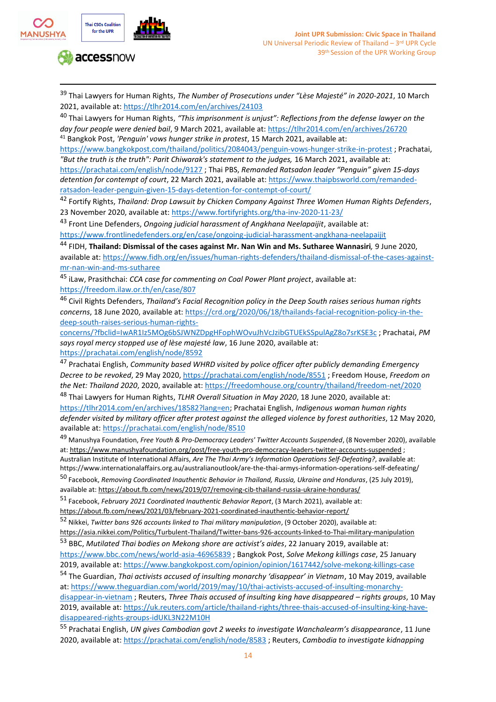



<sup>39</sup> Thai Lawyers for Human Rights, *The Number of Prosecutions under "Lèse Majesté" in 2020-2021*, 10 March 2021, available at[: https://tlhr2014.com/en/archives/24103](https://tlhr2014.com/en/archives/24103)

<sup>40</sup> Thai Lawyers for Human Rights, *"This imprisonment is unjust": Reflections from the defense lawyer on the day four people were denied bail*, 9 March 2021, available at[: https://tlhr2014.com/en/archives/26720](https://tlhr2014.com/en/archives/26720) <sup>41</sup> Bangkok Post, *'Penguin' vows hunger strike in protest*, 15 March 2021, available at:

<https://www.bangkokpost.com/thailand/politics/2084043/penguin-vows-hunger-strike-in-protest> ; Prachatai, *"But the truth is the truth": Parit Chiwarak's statement to the judges,* 16 March 2021, available at:

<https://prachatai.com/english/node/9127> ; Thai PBS, *Remanded Ratsadon leader "Penguin" given 15-days detention for contempt of court*, 22 March 2021, available at: [https://www.thaipbsworld.com/remanded](https://www.thaipbsworld.com/remanded-ratsadon-leader-penguin-given-15-days-detention-for-contempt-of-court/)[ratsadon-leader-penguin-given-15-days-detention-for-contempt-of-court/](https://www.thaipbsworld.com/remanded-ratsadon-leader-penguin-given-15-days-detention-for-contempt-of-court/)

<sup>42</sup> Fortify Rights, *Thailand: Drop Lawsuit by Chicken Company Against Three Women Human Rights Defenders*, 23 November 2020, available at:<https://www.fortifyrights.org/tha-inv-2020-11-23/>

<sup>43</sup> Front Line Defenders, *Ongoing judicial harassment of Angkhana Neelapaijit*, available at: <https://www.frontlinedefenders.org/en/case/ongoing-judicial-harassment-angkhana-neelapaijit>

<sup>44</sup> FIDH, **Thailand: Dismissal of the cases against Mr. Nan Win and Ms. Sutharee Wannasiri***,* 9 June 2020, available at: [https://www.fidh.org/en/issues/human-rights-defenders/thailand-dismissal-of-the-cases-against](https://www.fidh.org/en/issues/human-rights-defenders/thailand-dismissal-of-the-cases-against-mr-nan-win-and-ms-sutharee)[mr-nan-win-and-ms-sutharee](https://www.fidh.org/en/issues/human-rights-defenders/thailand-dismissal-of-the-cases-against-mr-nan-win-and-ms-sutharee)

<sup>45</sup> iLaw, Prasithchai: *CCA case for commenting on Coal Power Plant project*, available at: <https://freedom.ilaw.or.th/en/case/807>

<sup>46</sup> Civil Rights Defenders, *Thailand's Facial Recognition policy in the Deep South raises serious human rights concerns*, 18 June 2020, available at: [https://crd.org/2020/06/18/thailands-facial-recognition-policy-in-the](https://crd.org/2020/06/18/thailands-facial-recognition-policy-in-the-deep-south-raises-serious-human-rights-concerns/?fbclid=IwAR1Iz5MOg6bSJWNZDpgHFophWOvuJhVcJzibGTUEkSSpulAgZ8o7srKSE3c)[deep-south-raises-serious-human-rights-](https://crd.org/2020/06/18/thailands-facial-recognition-policy-in-the-deep-south-raises-serious-human-rights-concerns/?fbclid=IwAR1Iz5MOg6bSJWNZDpgHFophWOvuJhVcJzibGTUEkSSpulAgZ8o7srKSE3c)

[concerns/?fbclid=IwAR1Iz5MOg6bSJWNZDpgHFophWOvuJhVcJzibGTUEkSSpulAgZ8o7srKSE3c](https://crd.org/2020/06/18/thailands-facial-recognition-policy-in-the-deep-south-raises-serious-human-rights-concerns/?fbclid=IwAR1Iz5MOg6bSJWNZDpgHFophWOvuJhVcJzibGTUEkSSpulAgZ8o7srKSE3c) ; Prachatai, *PM says royal mercy stopped use of lèse majesté law*, 16 June 2020, available at: <https://prachatai.com/english/node/8592>

<sup>47</sup> Prachatai English, *Community based WHRD visited by police officer after publicly demanding Emergency Decree to be revoked*, 29 May 2020,<https://prachatai.com/english/node/8551> ; Freedom House, *Freedom on the Net: Thailand 2020*, 2020, available at:<https://freedomhouse.org/country/thailand/freedom-net/2020>

<sup>48</sup> Thai Lawyers for Human Rights, *TLHR Overall Situation in May 2020*, 18 June 2020, available at: [https://tlhr2014.com/en/archives/18582?lang=en;](https://tlhr2014.com/en/archives/18582?lang=en) Prachatai English, *Indigenous woman human rights defender visited by military officer after protest against the alleged violence by forest authorities*, 12 May 2020, available at[: https://prachatai.com/english/node/8510](https://prachatai.com/english/node/8510)

<sup>49</sup> Manushya Foundation, *Free Youth & Pro-Democracy Leaders' Twitter Accounts Suspended*, (8 November 2020), available at:<https://www.manushyafoundation.org/post/free-youth-pro-democracy-leaders-twitter-accounts-suspended> ; Australian Institute of International Affairs, *Are The Thai Army's Information Operations Self-Defeating?*, available at: https://www.internationalaffairs.org.au/australianoutlook/are-the-thai-armys-information-operations-self-defeating/

<sup>50</sup> Facebook, *Removing Coordinated Inauthentic Behavior in Thailand, Russia, Ukraine and Honduras*, (25 July 2019), available at[: https://about.fb.com/news/2019/07/removing-cib-thailand-russia-ukraine-honduras/](https://about.fb.com/news/2019/07/removing-cib-thailand-russia-ukraine-honduras/)

<sup>51</sup> Facebook, *February 2021 Coordinated Inauthentic Behavior Report*, (3 March 2021), available at: <https://about.fb.com/news/2021/03/february-2021-coordinated-inauthentic-behavior-report/>

<sup>52</sup> Nikkei, *Twitter bans 926 accounts linked to Thai military manipulation*, (9 October 2020), available at: <https://asia.nikkei.com/Politics/Turbulent-Thailand/Twitter-bans-926-accounts-linked-to-Thai-military-manipulation> <sup>53</sup> BBC, *Mutilated Thai bodies on Mekong shore are activist's aides*, 22 January 2019, available at:

<https://www.bbc.com/news/world-asia-46965839> ; Bangkok Post, *Solve Mekong killings case*, 25 January 2019, available at[: https://www.bangkokpost.com/opinion/opinion/1617442/solve-mekong-killings-case](https://www.bangkokpost.com/opinion/opinion/1617442/solve-mekong-killings-case)

<sup>54</sup> The Guardian, *Thai activists accused of insulting monarchy 'disappear' in Vietnam*, 10 May 2019, available at: [https://www.theguardian.com/world/2019/may/10/thai-activists-accused-of-insulting-monarchy](https://www.theguardian.com/world/2019/may/10/thai-activists-accused-of-insulting-monarchy-disappear-in-vietnam)[disappear-in-vietnam](https://www.theguardian.com/world/2019/may/10/thai-activists-accused-of-insulting-monarchy-disappear-in-vietnam) ; Reuters, *Three Thais accused of insulting king have disappeared – rights groups*, 10 May 2019, available at[: https://uk.reuters.com/article/thailand-rights/three-thais-accused-of-insulting-king-have-](https://uk.reuters.com/article/thailand-rights/three-thais-accused-of-insulting-king-have-disappeared-rights-groups-idUKL3N22M10H)

[disappeared-rights-groups-idUKL3N22M10H](https://uk.reuters.com/article/thailand-rights/three-thais-accused-of-insulting-king-have-disappeared-rights-groups-idUKL3N22M10H)

<sup>55</sup> Prachatai English, *UN gives Cambodian govt 2 weeks to investigate Wanchalearm's disappearance*, 11 June 2020, available at[: https://prachatai.com/english/node/8583](https://prachatai.com/english/node/8583) ; Reuters, *Cambodia to investigate kidnapping*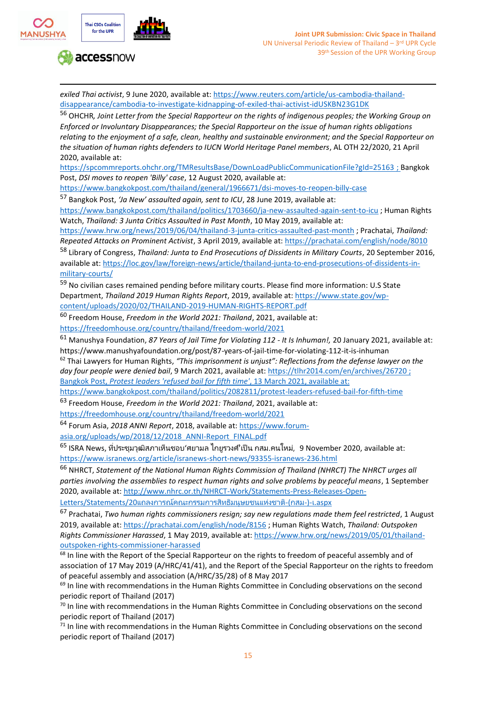

*exiled Thai activist*, 9 June 2020, available at: [https://www.reuters.com/article/us-cambodia-thailand](https://www.reuters.com/article/us-cambodia-thailand-disappearance/cambodia-to-investigate-kidnapping-of-exiled-thai-activist-idUSKBN23G1DK)[disappearance/cambodia-to-investigate-kidnapping-of-exiled-thai-activist-idUSKBN23G1DK](https://www.reuters.com/article/us-cambodia-thailand-disappearance/cambodia-to-investigate-kidnapping-of-exiled-thai-activist-idUSKBN23G1DK)

<sup>56</sup> OHCHR*, Joint Letter from the Special Rapporteur on the rights of indigenous peoples; the Working Group on Enforced or Involuntary Disappearances; the Special Rapporteur on the issue of human rights obligations relating to the enjoyment of a safe, clean, healthy and sustainable environment; and the Special Rapporteur on the situation of human rights defenders to IUCN World Heritage Panel members*, AL OTH 22/2020, 21 April 2020, available at:

<https://spcommreports.ohchr.org/TMResultsBase/DownLoadPublicCommunicationFile?gId=25163> ; Bangkok Post, *DSI moves to reopen 'Billy' case*, 12 August 2020, available at:

<https://www.bangkokpost.com/thailand/general/1966671/dsi-moves-to-reopen-billy-case>

<sup>57</sup> Bangkok Post, *'Ja New' assaulted again, sent to ICU*, 28 June 2019, available at:

<https://www.bangkokpost.com/thailand/politics/1703660/ja-new-assaulted-again-sent-to-icu> ; Human Rights Watch, *Thailand: 3 Junta Critics Assaulted in Past Month*, 10 May 2019, available at:

<https://www.hrw.org/news/2019/06/04/thailand-3-junta-critics-assaulted-past-month> ; Prachatai, *Thailand:* 

*Repeated Attacks on Prominent Activist*, 3 April 2019, available at:<https://prachatai.com/english/node/8010> <sup>58</sup> Library of Congress, *Thailand: Junta to End Prosecutions of Dissidents in Military Courts*, 20 September 2016,

available at[: https://loc.gov/law/foreign-news/article/thailand-junta-to-end-prosecutions-of-dissidents-in](https://loc.gov/law/foreign-news/article/thailand-junta-to-end-prosecutions-of-dissidents-in-military-courts/)[military-courts/](https://loc.gov/law/foreign-news/article/thailand-junta-to-end-prosecutions-of-dissidents-in-military-courts/)

59 No civilian cases remained pending before military courts. Please find more information: U.S State Department, *Thailand 2019 Human Rights Report*, 2019, available at: [https://www.state.gov/wp](https://www.state.gov/wp-content/uploads/2020/02/THAILAND-2019-HUMAN-RIGHTS-REPORT.pdf)[content/uploads/2020/02/THAILAND-2019-HUMAN-RIGHTS-REPORT.pdf](https://www.state.gov/wp-content/uploads/2020/02/THAILAND-2019-HUMAN-RIGHTS-REPORT.pdf)

<sup>60</sup> Freedom House, *Freedom in the World 2021: Thailand*, 2021, available at: <https://freedomhouse.org/country/thailand/freedom-world/2021>

<sup>61</sup> Manushya Foundation, *87 Years of Jail Time for Violating 112 - It Is Inhuman!,* 20 January 2021, available at: https://www.manushyafoundation.org/post/87-years-of-jail-time-for-violating-112-it-is-inhuman

<sup>62</sup> Thai Lawyers for Human Rights, *"This imprisonment is unjust": Reflections from the defense lawyer on the day four people were denied bail*, 9 March 2021, available at[: https://tlhr2014.com/en/archives/26720](https://tlhr2014.com/en/archives/26720) ; Bangkok Post, *Protest leaders 'refused bail for fifth time'*, 13 March 2021, available at:

<https://www.bangkokpost.com/thailand/politics/2082811/protest-leaders-refused-bail-for-fifth-time>

<sup>63</sup> Freedom House, *Freedom in the World 2021: Thailand*, 2021, available at:

<https://freedomhouse.org/country/thailand/freedom-world/2021>

<sup>64</sup> Forum Asia, *2018 ANNI Report*, 2018, available at: [https://www.forum](https://www.forum-asia.org/uploads/wp/2018/12/2018_ANNI-Report_FINAL.pdf)[asia.org/uploads/wp/2018/12/2018\\_ANNI-Report\\_FINAL.pdf](https://www.forum-asia.org/uploads/wp/2018/12/2018_ANNI-Report_FINAL.pdf)

 $^{65}$  ISRA News, ที่ประชุมวุฒิสภาเห็นชอบ'ศยามล ไกยูรวงศ์'เป็น กสม.คนใหม่, 9 November 2020, available at: <https://www.isranews.org/article/isranews-short-news/93355-isranews-236.html>

<sup>66</sup> NHRCT, *Statement of the National Human Rights Commission of Thailand (NHRCT) The NHRCT urges all parties involving the assemblies to respect human rights and solve problems by peaceful means*, 1 September 2020, available at[: http://www.nhrc.or.th/NHRCT-Work/Statements-Press-Releases-Open-](http://www.nhrc.or.th/NHRCT-Work/Statements-Press-Releases-Open-Letters/Statements/20%E0%B9%81%E0%B8%96%E0%B8%A5%E0%B8%87%E0%B8%81%E0%B8%B2%E0%B8%A3%E0%B8%93%E0%B9%8C%E0%B8%84%E0%B8%93%E0%B8%B0%E0%B8%81%E0%B8%A3%E0%B8%A3%E0%B8%A1%E0%B8%81%E0%B8%B2%E0%B8%A3%E0%B8%AA%E0%B8%B4%E0%B8%97%E0%B8%98%E0%B8%B4%E0%B8%A1%E0%B8%99%E0%B8%B8%E0%B8%A9%E0%B8%A2%E0%B8%8A%E0%B8%99%E0%B9%81%E0%B8%AB%E0%B9%88%E0%B8%87%E0%B8%8A%E0%B8%B2%E0%B8%95%E0%B8%B4-(%E0%B8%81%E0%B8%AA%E0%B8%A1-)-%E0%B9%80.aspx)

[Letters/Statements/20](http://www.nhrc.or.th/NHRCT-Work/Statements-Press-Releases-Open-Letters/Statements/20%E0%B9%81%E0%B8%96%E0%B8%A5%E0%B8%87%E0%B8%81%E0%B8%B2%E0%B8%A3%E0%B8%93%E0%B9%8C%E0%B8%84%E0%B8%93%E0%B8%B0%E0%B8%81%E0%B8%A3%E0%B8%A3%E0%B8%A1%E0%B8%81%E0%B8%B2%E0%B8%A3%E0%B8%AA%E0%B8%B4%E0%B8%97%E0%B8%98%E0%B8%B4%E0%B8%A1%E0%B8%99%E0%B8%B8%E0%B8%A9%E0%B8%A2%E0%B8%8A%E0%B8%99%E0%B9%81%E0%B8%AB%E0%B9%88%E0%B8%87%E0%B8%8A%E0%B8%B2%E0%B8%95%E0%B8%B4-(%E0%B8%81%E0%B8%AA%E0%B8%A1-)-%E0%B9%80.aspx)[แถลงการณ์คณะกรรมการสิทธิมนุษยชนแห่งชาติ](http://www.nhrc.or.th/NHRCT-Work/Statements-Press-Releases-Open-Letters/Statements/20%E0%B9%81%E0%B8%96%E0%B8%A5%E0%B8%87%E0%B8%81%E0%B8%B2%E0%B8%A3%E0%B8%93%E0%B9%8C%E0%B8%84%E0%B8%93%E0%B8%B0%E0%B8%81%E0%B8%A3%E0%B8%A3%E0%B8%A1%E0%B8%81%E0%B8%B2%E0%B8%A3%E0%B8%AA%E0%B8%B4%E0%B8%97%E0%B8%98%E0%B8%B4%E0%B8%A1%E0%B8%99%E0%B8%B8%E0%B8%A9%E0%B8%A2%E0%B8%8A%E0%B8%99%E0%B9%81%E0%B8%AB%E0%B9%88%E0%B8%87%E0%B8%8A%E0%B8%B2%E0%B8%95%E0%B8%B4-(%E0%B8%81%E0%B8%AA%E0%B8%A1-)-%E0%B9%80.aspx)[-\(](http://www.nhrc.or.th/NHRCT-Work/Statements-Press-Releases-Open-Letters/Statements/20%E0%B9%81%E0%B8%96%E0%B8%A5%E0%B8%87%E0%B8%81%E0%B8%B2%E0%B8%A3%E0%B8%93%E0%B9%8C%E0%B8%84%E0%B8%93%E0%B8%B0%E0%B8%81%E0%B8%A3%E0%B8%A3%E0%B8%A1%E0%B8%81%E0%B8%B2%E0%B8%A3%E0%B8%AA%E0%B8%B4%E0%B8%97%E0%B8%98%E0%B8%B4%E0%B8%A1%E0%B8%99%E0%B8%B8%E0%B8%A9%E0%B8%A2%E0%B8%8A%E0%B8%99%E0%B9%81%E0%B8%AB%E0%B9%88%E0%B8%87%E0%B8%8A%E0%B8%B2%E0%B8%95%E0%B8%B4-(%E0%B8%81%E0%B8%AA%E0%B8%A1-)-%E0%B9%80.aspx)[กสม](http://www.nhrc.or.th/NHRCT-Work/Statements-Press-Releases-Open-Letters/Statements/20%E0%B9%81%E0%B8%96%E0%B8%A5%E0%B8%87%E0%B8%81%E0%B8%B2%E0%B8%A3%E0%B8%93%E0%B9%8C%E0%B8%84%E0%B8%93%E0%B8%B0%E0%B8%81%E0%B8%A3%E0%B8%A3%E0%B8%A1%E0%B8%81%E0%B8%B2%E0%B8%A3%E0%B8%AA%E0%B8%B4%E0%B8%97%E0%B8%98%E0%B8%B4%E0%B8%A1%E0%B8%99%E0%B8%B8%E0%B8%A9%E0%B8%A2%E0%B8%8A%E0%B8%99%E0%B9%81%E0%B8%AB%E0%B9%88%E0%B8%87%E0%B8%8A%E0%B8%B2%E0%B8%95%E0%B8%B4-(%E0%B8%81%E0%B8%AA%E0%B8%A1-)-%E0%B9%80.aspx)[-\)-](http://www.nhrc.or.th/NHRCT-Work/Statements-Press-Releases-Open-Letters/Statements/20%E0%B9%81%E0%B8%96%E0%B8%A5%E0%B8%87%E0%B8%81%E0%B8%B2%E0%B8%A3%E0%B8%93%E0%B9%8C%E0%B8%84%E0%B8%93%E0%B8%B0%E0%B8%81%E0%B8%A3%E0%B8%A3%E0%B8%A1%E0%B8%81%E0%B8%B2%E0%B8%A3%E0%B8%AA%E0%B8%B4%E0%B8%97%E0%B8%98%E0%B8%B4%E0%B8%A1%E0%B8%99%E0%B8%B8%E0%B8%A9%E0%B8%A2%E0%B8%8A%E0%B8%99%E0%B9%81%E0%B8%AB%E0%B9%88%E0%B8%87%E0%B8%8A%E0%B8%B2%E0%B8%95%E0%B8%B4-(%E0%B8%81%E0%B8%AA%E0%B8%A1-)-%E0%B9%80.aspx)[เ](http://www.nhrc.or.th/NHRCT-Work/Statements-Press-Releases-Open-Letters/Statements/20%E0%B9%81%E0%B8%96%E0%B8%A5%E0%B8%87%E0%B8%81%E0%B8%B2%E0%B8%A3%E0%B8%93%E0%B9%8C%E0%B8%84%E0%B8%93%E0%B8%B0%E0%B8%81%E0%B8%A3%E0%B8%A3%E0%B8%A1%E0%B8%81%E0%B8%B2%E0%B8%A3%E0%B8%AA%E0%B8%B4%E0%B8%97%E0%B8%98%E0%B8%B4%E0%B8%A1%E0%B8%99%E0%B8%B8%E0%B8%A9%E0%B8%A2%E0%B8%8A%E0%B8%99%E0%B9%81%E0%B8%AB%E0%B9%88%E0%B8%87%E0%B8%8A%E0%B8%B2%E0%B8%95%E0%B8%B4-(%E0%B8%81%E0%B8%AA%E0%B8%A1-)-%E0%B9%80.aspx)[.aspx](http://www.nhrc.or.th/NHRCT-Work/Statements-Press-Releases-Open-Letters/Statements/20%E0%B9%81%E0%B8%96%E0%B8%A5%E0%B8%87%E0%B8%81%E0%B8%B2%E0%B8%A3%E0%B8%93%E0%B9%8C%E0%B8%84%E0%B8%93%E0%B8%B0%E0%B8%81%E0%B8%A3%E0%B8%A3%E0%B8%A1%E0%B8%81%E0%B8%B2%E0%B8%A3%E0%B8%AA%E0%B8%B4%E0%B8%97%E0%B8%98%E0%B8%B4%E0%B8%A1%E0%B8%99%E0%B8%B8%E0%B8%A9%E0%B8%A2%E0%B8%8A%E0%B8%99%E0%B9%81%E0%B8%AB%E0%B9%88%E0%B8%87%E0%B8%8A%E0%B8%B2%E0%B8%95%E0%B8%B4-(%E0%B8%81%E0%B8%AA%E0%B8%A1-)-%E0%B9%80.aspx)

<sup>67</sup> Prachatai, *Two human rights commissioners resign; say new regulations made them feel restricted*, 1 August 2019, available at[: https://prachatai.com/english/node/8156](https://prachatai.com/english/node/8156) ; Human Rights Watch, *Thailand: Outspoken Rights Commissioner Harassed*, 1 May 2019, available at: [https://www.hrw.org/news/2019/05/01/thailand](https://www.hrw.org/news/2019/05/01/thailand-outspoken-rights-commissioner-harassed)[outspoken-rights-commissioner-harassed](https://www.hrw.org/news/2019/05/01/thailand-outspoken-rights-commissioner-harassed)

<sup>68</sup> In line with the Report of the Special Rapporteur on the rights to freedom of peaceful assembly and of association of 17 May 2019 (A/HRC/41/41), and the Report of the Special Rapporteur on the rights to freedom of peaceful assembly and association (A/HRC/35/28) of 8 May 2017

<sup>69</sup> In line with recommendations in the Human Rights Committee in Concluding observations on the second periodic report of Thailand (2017)

 $70$  In line with recommendations in the Human Rights Committee in Concluding observations on the second periodic report of Thailand (2017)

 $71$  In line with recommendations in the Human Rights Committee in Concluding observations on the second periodic report of Thailand (2017)